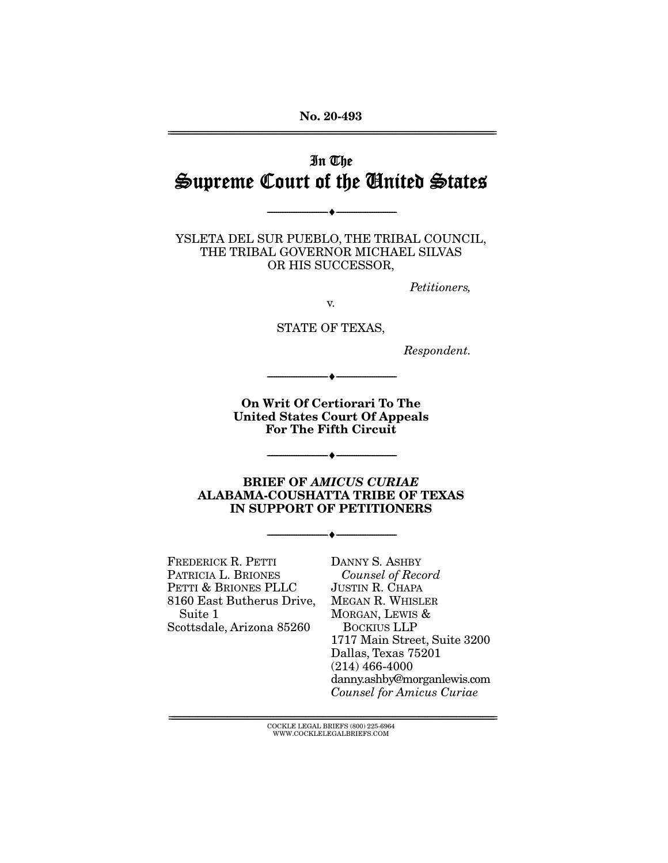**No. 20-493**  ================================================================================================================

# In The Supreme Court of the United States

--------------------------------- ♦ ---------------------------------

YSLETA DEL SUR PUEBLO, THE TRIBAL COUNCIL, THE TRIBAL GOVERNOR MICHAEL SILVAS OR HIS SUCCESSOR,

Petitioners,

v.

STATE OF TEXAS,

Respondent.

**On Writ Of Certiorari To The United States Court Of Appeals For The Fifth Circuit** 

--------------------------------- ♦ ---------------------------------

--------------------------------- ♦ ---------------------------------

**BRIEF OF** *AMICUS CURIAE* **ALABAMA-COUSHATTA TRIBE OF TEXAS IN SUPPORT OF PETITIONERS** 

--------------------------------- ♦ ---------------------------------

FREDERICK R. PETTI PATRICIA L. BRIONES PETTI & BRIONES PLLC 8160 East Butherus Drive, Suite 1 Scottsdale, Arizona 85260

DANNY S. ASHBY Counsel of Record JUSTIN R. CHAPA MEGAN R. WHISLER MORGAN, LEWIS & BOCKIUS LLP 1717 Main Street, Suite 3200 Dallas, Texas 75201 (214) 466-4000 danny.ashby@morganlewis.com Counsel for Amicus Curiae

 $\text{COCKLE LEGAL BRIEFS}$  (800) 225-6964 WWW.COCKLELEGALBRIEFS.COM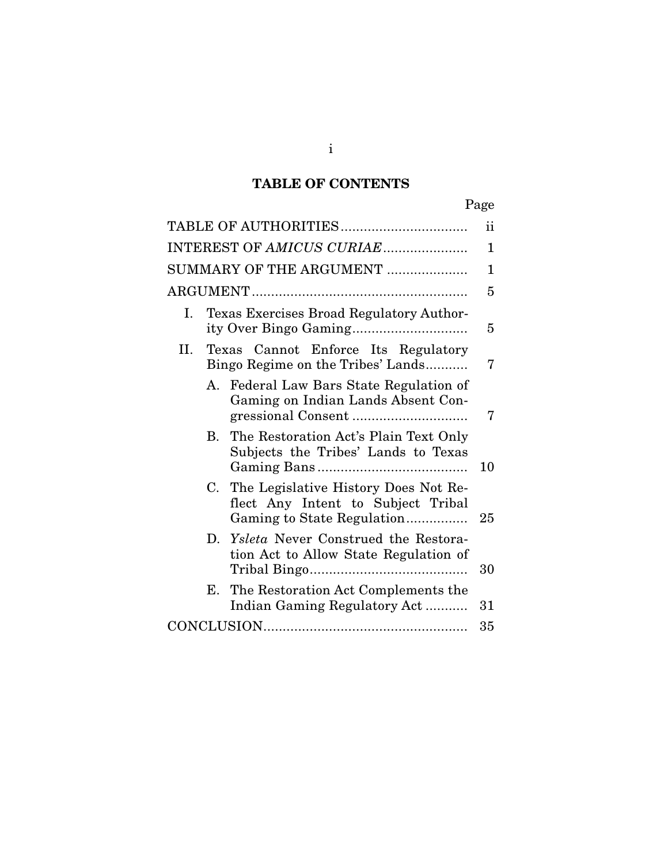## **TABLE OF CONTENTS**

| i<br>۰, |
|---------|
|---------|

| INTEREST OF AMICUS CURIAE |                                                                          |                                                                                                          |    |  |
|---------------------------|--------------------------------------------------------------------------|----------------------------------------------------------------------------------------------------------|----|--|
| SUMMARY OF THE ARGUMENT   |                                                                          |                                                                                                          |    |  |
| 5                         |                                                                          |                                                                                                          |    |  |
| L.                        | Texas Exercises Broad Regulatory Author-                                 |                                                                                                          |    |  |
| II.                       | Texas Cannot Enforce Its Regulatory<br>Bingo Regime on the Tribes' Lands |                                                                                                          |    |  |
|                           |                                                                          | A. Federal Law Bars State Regulation of<br>Gaming on Indian Lands Absent Con-                            | 7  |  |
|                           | В.                                                                       | The Restoration Act's Plain Text Only<br>Subjects the Tribes' Lands to Texas                             | 10 |  |
|                           | C.                                                                       | The Legislative History Does Not Re-<br>flect Any Intent to Subject Tribal<br>Gaming to State Regulation | 25 |  |
|                           |                                                                          | D. Ysleta Never Construed the Restora-<br>tion Act to Allow State Regulation of                          | 30 |  |
|                           | Е.                                                                       | The Restoration Act Complements the<br>Indian Gaming Regulatory Act                                      | 31 |  |
| 35                        |                                                                          |                                                                                                          |    |  |

i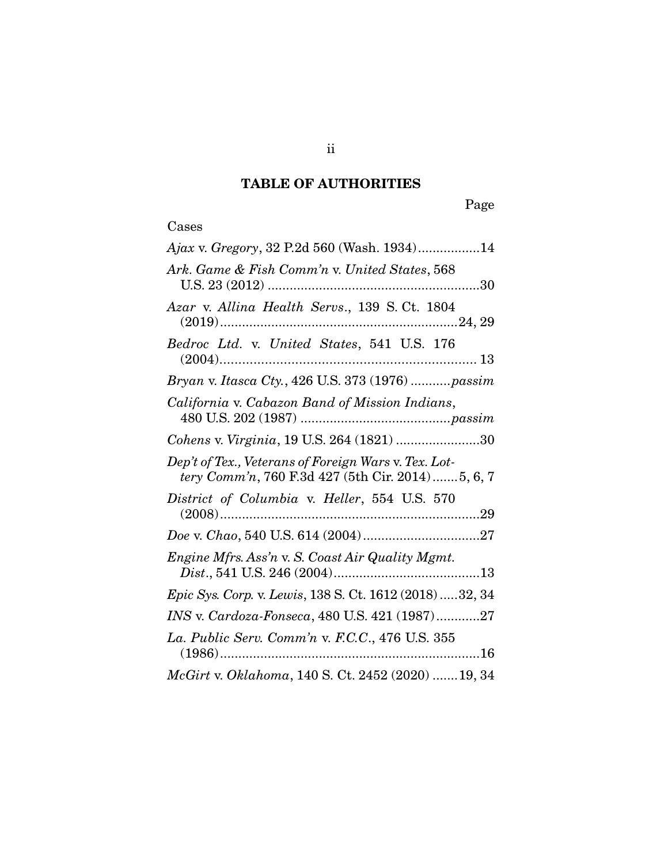## **TABLE OF AUTHORITIES**

## Cases

| Ajax v. Gregory, 32 P.2d 560 (Wash. 1934)14                                                              |
|----------------------------------------------------------------------------------------------------------|
| Ark. Game & Fish Comm'n v. United States, 568                                                            |
| Azar v. Allina Health Servs., 139 S. Ct. 1804                                                            |
| Bedroc Ltd. v. United States, 541 U.S. 176                                                               |
| Bryan v. Itasca Cty., 426 U.S. 373 (1976)passim                                                          |
| California v. Cabazon Band of Mission Indians,                                                           |
| Cohens v. Virginia, 19 U.S. 264 (1821) 30                                                                |
| Dep't of Tex., Veterans of Foreign Wars v. Tex. Lot-<br>tery Comm'n, 760 F.3d 427 (5th Cir. 2014)5, 6, 7 |
| District of Columbia v. Heller, 554 U.S. 570                                                             |
|                                                                                                          |
| Engine Mfrs. Ass'n v. S. Coast Air Quality Mgmt.                                                         |
| Epic Sys. Corp. v. Lewis, 138 S. Ct. 1612 (2018) 32, 34                                                  |
| INS v. Cardoza-Fonseca, 480 U.S. 421 (1987)27                                                            |
| La. Public Serv. Comm'n v. F.C.C., 476 U.S. 355                                                          |
| McGirt v. Oklahoma, 140 S. Ct. 2452 (2020)  19, 34                                                       |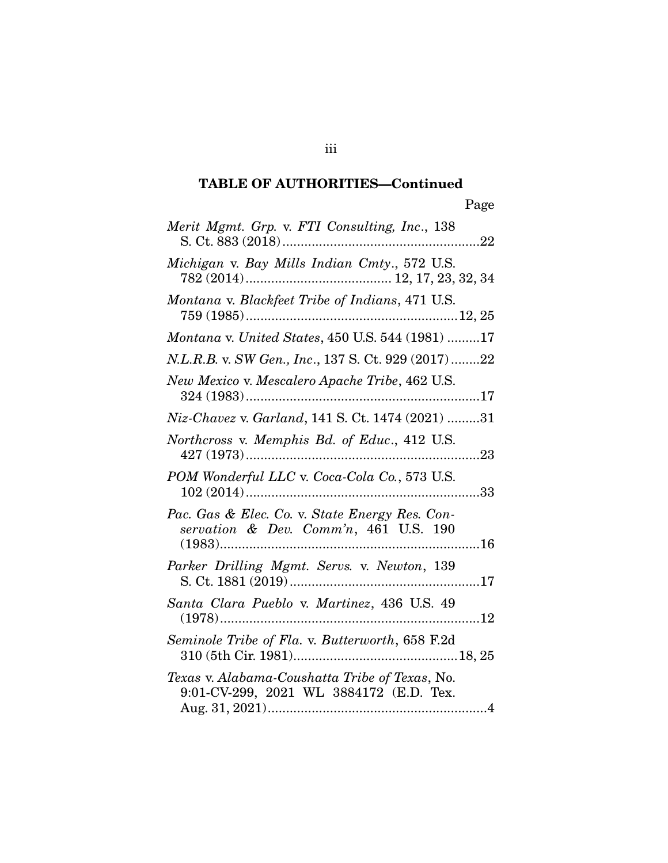## **TABLE OF AUTHORITIES—Continued**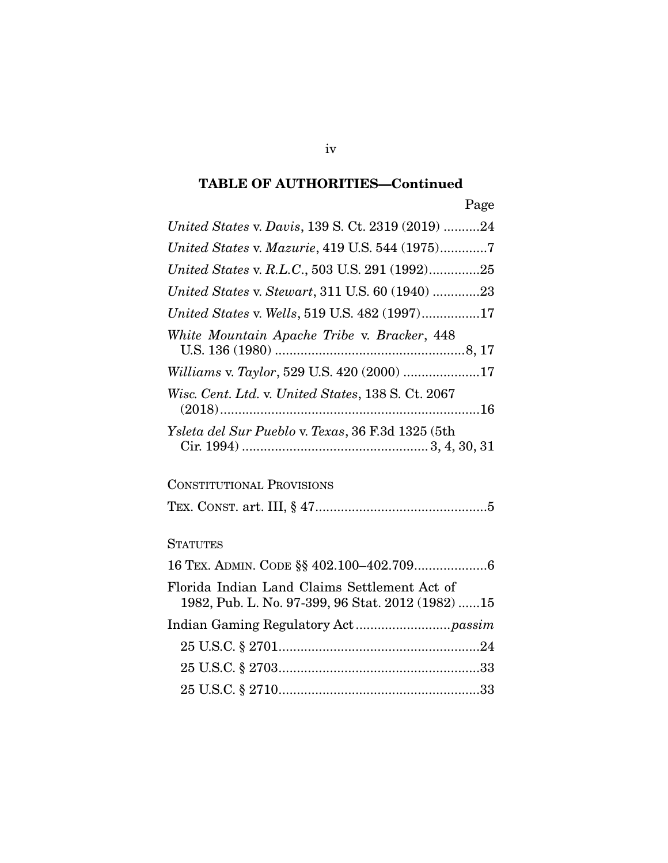## **TABLE OF AUTHORITIES—Continued**

| ۰, |
|----|
|----|

| United States v. Davis, 139 S. Ct. 2319 (2019) 24                                                 |
|---------------------------------------------------------------------------------------------------|
| United States v. Mazurie, 419 U.S. 544 (1975)7                                                    |
| United States v. R.L.C., 503 U.S. 291 (1992)25                                                    |
| United States v. Stewart, 311 U.S. 60 (1940) 23                                                   |
| United States v. Wells, 519 U.S. 482 (1997)17                                                     |
| White Mountain Apache Tribe v. Bracker, 448                                                       |
| Williams v. Taylor, 529 U.S. 420 (2000) 17                                                        |
| Wisc. Cent. Ltd. v. United States, 138 S. Ct. 2067                                                |
| Ysleta del Sur Pueblo v. Texas, 36 F.3d 1325 (5th                                                 |
| <b>CONSTITUTIONAL PROVISIONS</b>                                                                  |
|                                                                                                   |
| <b>STATUTES</b>                                                                                   |
| 16 TEX. ADMIN. CODE §§ 402.100-402.7096                                                           |
| Florida Indian Land Claims Settlement Act of<br>1982, Pub. L. No. 97-399, 96 Stat. 2012 (1982) 15 |
|                                                                                                   |
|                                                                                                   |
|                                                                                                   |
|                                                                                                   |

iv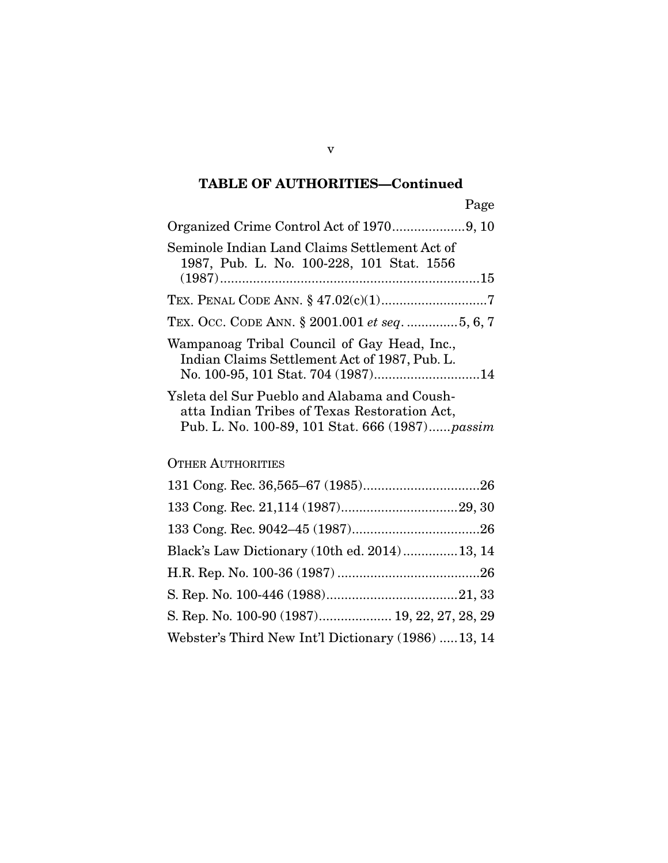## **TABLE OF AUTHORITIES—Continued**

| Seminole Indian Land Claims Settlement Act of<br>1987, Pub. L. No. 100-228, 101 Stat. 1556                                                     |
|------------------------------------------------------------------------------------------------------------------------------------------------|
|                                                                                                                                                |
| TEX. OCC. CODE ANN. § 2001.001 et seq. 5, 6, 7                                                                                                 |
| Wampanoag Tribal Council of Gay Head, Inc.,<br>Indian Claims Settlement Act of 1987, Pub. L.<br>No. 100-95, 101 Stat. 704 (1987)14             |
| Ysleta del Sur Pueblo and Alabama and Coush-<br>atta Indian Tribes of Texas Restoration Act,<br>Pub. L. No. 100-89, 101 Stat. 666 (1987)passim |

### OTHER AUTHORITIES

| Black's Law Dictionary (10th ed. 2014)13, 14       |  |
|----------------------------------------------------|--|
|                                                    |  |
|                                                    |  |
| S. Rep. No. 100-90 (1987) 19, 22, 27, 28, 29       |  |
| Webster's Third New Int'l Dictionary (1986) 13, 14 |  |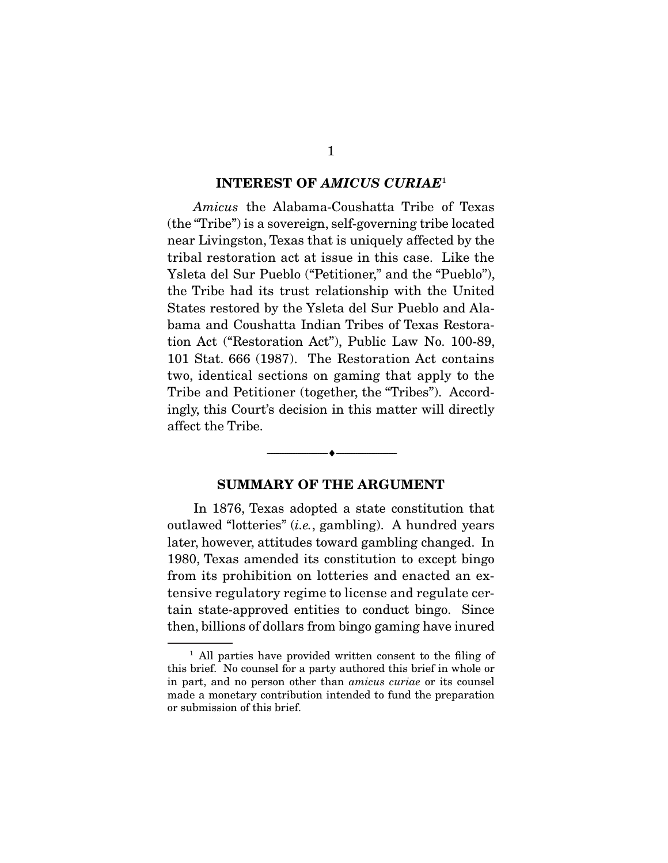#### **INTEREST OF** *AMICUS CURIAE*<sup>1</sup>

Amicus the Alabama-Coushatta Tribe of Texas (the "Tribe") is a sovereign, self-governing tribe located near Livingston, Texas that is uniquely affected by the tribal restoration act at issue in this case. Like the Ysleta del Sur Pueblo ("Petitioner," and the "Pueblo"), the Tribe had its trust relationship with the United States restored by the Ysleta del Sur Pueblo and Alabama and Coushatta Indian Tribes of Texas Restoration Act ("Restoration Act"), Public Law No. 100-89, 101 Stat. 666 (1987). The Restoration Act contains two, identical sections on gaming that apply to the Tribe and Petitioner (together, the "Tribes"). Accordingly, this Court's decision in this matter will directly affect the Tribe.

#### **SUMMARY OF THE ARGUMENT**

--------------------------------- ♦ ---------------------------------

 In 1876, Texas adopted a state constitution that outlawed "lotteries" (i.e., gambling). A hundred years later, however, attitudes toward gambling changed. In 1980, Texas amended its constitution to except bingo from its prohibition on lotteries and enacted an extensive regulatory regime to license and regulate certain state-approved entities to conduct bingo. Since then, billions of dollars from bingo gaming have inured

<sup>&</sup>lt;sup>1</sup> All parties have provided written consent to the filing of this brief. No counsel for a party authored this brief in whole or in part, and no person other than amicus curiae or its counsel made a monetary contribution intended to fund the preparation or submission of this brief.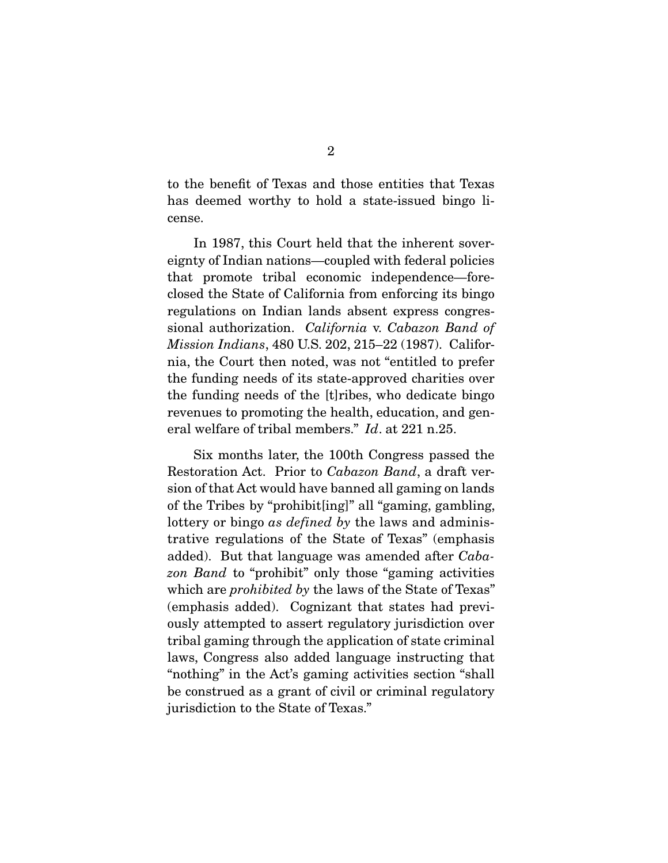to the benefit of Texas and those entities that Texas has deemed worthy to hold a state-issued bingo license.

 In 1987, this Court held that the inherent sovereignty of Indian nations—coupled with federal policies that promote tribal economic independence—foreclosed the State of California from enforcing its bingo regulations on Indian lands absent express congressional authorization. California v. Cabazon Band of Mission Indians, 480 U.S. 202, 215–22 (1987). California, the Court then noted, was not "entitled to prefer the funding needs of its state-approved charities over the funding needs of the [t]ribes, who dedicate bingo revenues to promoting the health, education, and general welfare of tribal members." Id. at 221 n.25.

 Six months later, the 100th Congress passed the Restoration Act. Prior to Cabazon Band, a draft version of that Act would have banned all gaming on lands of the Tribes by "prohibit[ing]" all "gaming, gambling, lottery or bingo as *defined by* the laws and administrative regulations of the State of Texas" (emphasis added). But that language was amended after Cabazon Band to "prohibit" only those "gaming activities" which are *prohibited by* the laws of the State of Texas" (emphasis added). Cognizant that states had previously attempted to assert regulatory jurisdiction over tribal gaming through the application of state criminal laws, Congress also added language instructing that "nothing" in the Act's gaming activities section "shall be construed as a grant of civil or criminal regulatory jurisdiction to the State of Texas."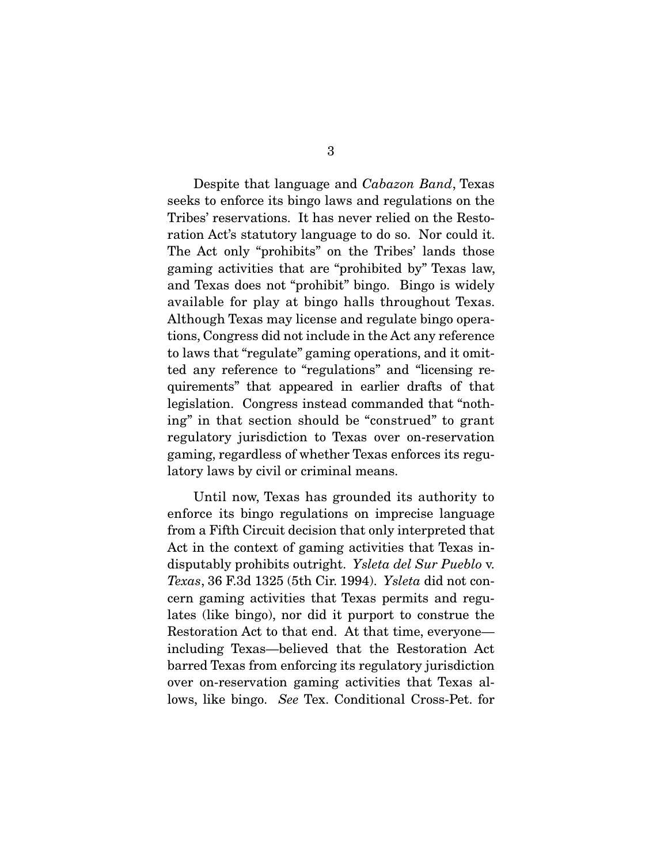Despite that language and Cabazon Band, Texas seeks to enforce its bingo laws and regulations on the Tribes' reservations. It has never relied on the Restoration Act's statutory language to do so. Nor could it. The Act only "prohibits" on the Tribes' lands those gaming activities that are "prohibited by" Texas law, and Texas does not "prohibit" bingo. Bingo is widely available for play at bingo halls throughout Texas. Although Texas may license and regulate bingo operations, Congress did not include in the Act any reference to laws that "regulate" gaming operations, and it omitted any reference to "regulations" and "licensing requirements" that appeared in earlier drafts of that legislation. Congress instead commanded that "nothing" in that section should be "construed" to grant regulatory jurisdiction to Texas over on-reservation gaming, regardless of whether Texas enforces its regulatory laws by civil or criminal means.

 Until now, Texas has grounded its authority to enforce its bingo regulations on imprecise language from a Fifth Circuit decision that only interpreted that Act in the context of gaming activities that Texas indisputably prohibits outright. Ysleta del Sur Pueblo v. Texas, 36 F.3d 1325 (5th Cir. 1994). Ysleta did not concern gaming activities that Texas permits and regulates (like bingo), nor did it purport to construe the Restoration Act to that end. At that time, everyone including Texas—believed that the Restoration Act barred Texas from enforcing its regulatory jurisdiction over on-reservation gaming activities that Texas allows, like bingo. See Tex. Conditional Cross-Pet. for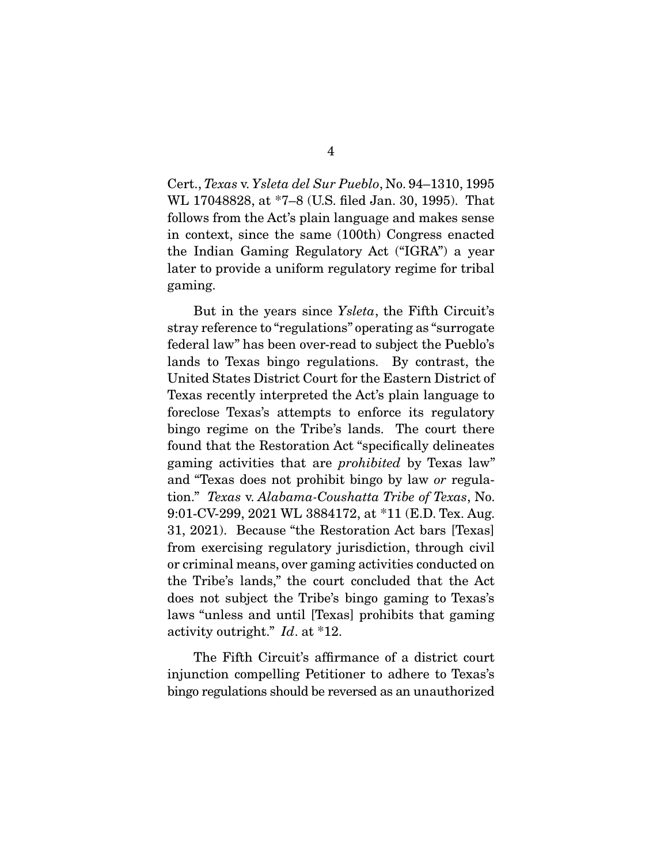Cert., Texas v. Ysleta del Sur Pueblo, No. 94–1310, 1995 WL 17048828, at \*7–8 (U.S. filed Jan. 30, 1995). That follows from the Act's plain language and makes sense in context, since the same (100th) Congress enacted the Indian Gaming Regulatory Act ("IGRA") a year later to provide a uniform regulatory regime for tribal gaming.

 But in the years since Ysleta, the Fifth Circuit's stray reference to "regulations" operating as "surrogate federal law" has been over-read to subject the Pueblo's lands to Texas bingo regulations. By contrast, the United States District Court for the Eastern District of Texas recently interpreted the Act's plain language to foreclose Texas's attempts to enforce its regulatory bingo regime on the Tribe's lands. The court there found that the Restoration Act "specifically delineates gaming activities that are prohibited by Texas law" and "Texas does not prohibit bingo by law or regulation." Texas v. Alabama-Coushatta Tribe of Texas, No. 9:01-CV-299, 2021 WL 3884172, at \*11 (E.D. Tex. Aug. 31, 2021). Because "the Restoration Act bars [Texas] from exercising regulatory jurisdiction, through civil or criminal means, over gaming activities conducted on the Tribe's lands," the court concluded that the Act does not subject the Tribe's bingo gaming to Texas's laws "unless and until [Texas] prohibits that gaming activity outright." Id. at \*12.

 The Fifth Circuit's affirmance of a district court injunction compelling Petitioner to adhere to Texas's bingo regulations should be reversed as an unauthorized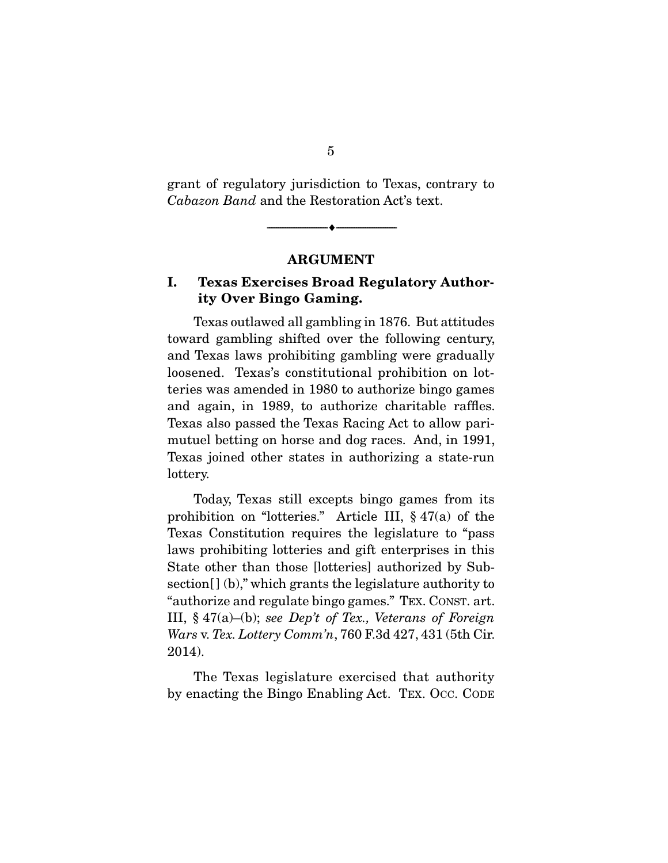grant of regulatory jurisdiction to Texas, contrary to Cabazon Band and the Restoration Act's text.

**ARGUMENT** 

 $\overbrace{\hspace{2.5cm}}^{\bullet}$   $\overbrace{\hspace{2.5cm}}^{\bullet}$ 

### **I. Texas Exercises Broad Regulatory Authority Over Bingo Gaming.**

 Texas outlawed all gambling in 1876. But attitudes toward gambling shifted over the following century, and Texas laws prohibiting gambling were gradually loosened. Texas's constitutional prohibition on lotteries was amended in 1980 to authorize bingo games and again, in 1989, to authorize charitable raffles. Texas also passed the Texas Racing Act to allow parimutuel betting on horse and dog races. And, in 1991, Texas joined other states in authorizing a state-run lottery.

 Today, Texas still excepts bingo games from its prohibition on "lotteries." Article III, § 47(a) of the Texas Constitution requires the legislature to "pass laws prohibiting lotteries and gift enterprises in this State other than those [lotteries] authorized by Subsection $[ ] (b)$ ," which grants the legislature authority to "authorize and regulate bingo games." TEX. CONST. art. III,  $§$  47(a)–(b); see Dep't of Tex., Veterans of Foreign Wars v. Tex. Lottery Comm'n, 760 F.3d 427, 431 (5th Cir. 2014).

 The Texas legislature exercised that authority by enacting the Bingo Enabling Act. TEX. OCC. CODE

5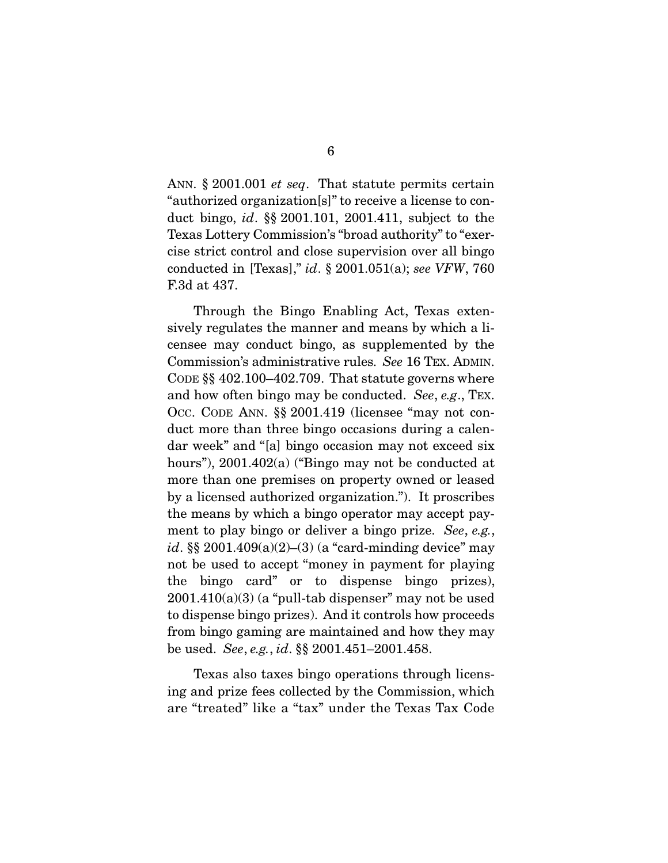ANN. § 2001.001 *et seq*. That statute permits certain "authorized organization[s]" to receive a license to conduct bingo, id. §§ 2001.101, 2001.411, subject to the Texas Lottery Commission's "broad authority" to "exercise strict control and close supervision over all bingo conducted in [Texas]," id.  $\S 2001.051(a)$ ; see VFW, 760 F.3d at 437.

 Through the Bingo Enabling Act, Texas extensively regulates the manner and means by which a licensee may conduct bingo, as supplemented by the Commission's administrative rules. See 16 TEX. ADMIN. CODE §§ 402.100–402.709. That statute governs where and how often bingo may be conducted. See, e.g., TEX. OCC. CODE ANN. §§ 2001.419 (licensee "may not conduct more than three bingo occasions during a calendar week" and "[a] bingo occasion may not exceed six hours"), 2001.402(a) ("Bingo may not be conducted at more than one premises on property owned or leased by a licensed authorized organization."). It proscribes the means by which a bingo operator may accept payment to play bingo or deliver a bingo prize. See, e.g., id. §§ 2001.409 $(a)(2)$ – $(3)$  (a "card-minding device" may not be used to accept "money in payment for playing the bingo card" or to dispense bingo prizes),  $2001.410(a)(3)$  (a "pull-tab dispenser" may not be used to dispense bingo prizes). And it controls how proceeds from bingo gaming are maintained and how they may be used. See, e.g., id. §§ 2001.451–2001.458.

 Texas also taxes bingo operations through licensing and prize fees collected by the Commission, which are "treated" like a "tax" under the Texas Tax Code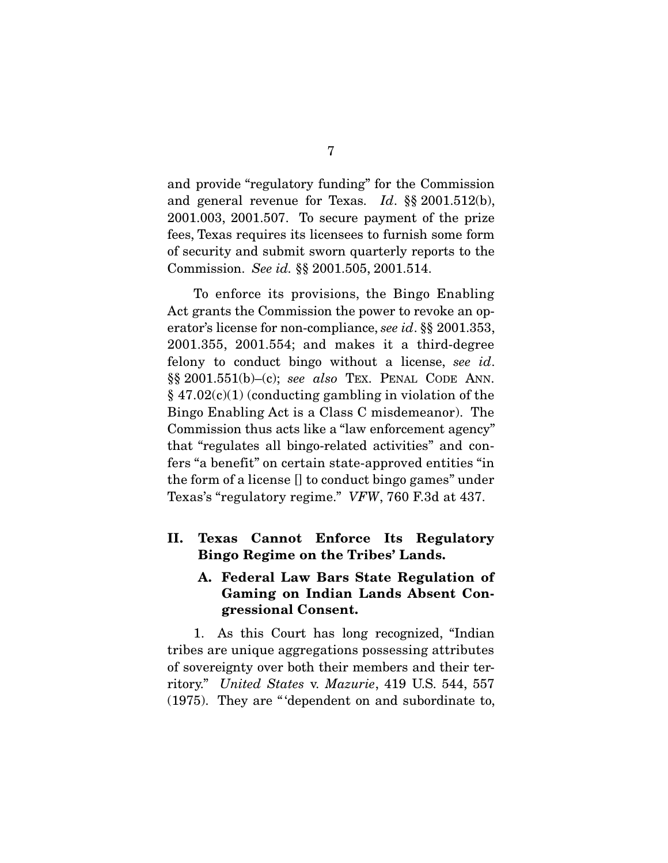and provide "regulatory funding" for the Commission and general revenue for Texas. Id. §§ 2001.512(b), 2001.003, 2001.507. To secure payment of the prize fees, Texas requires its licensees to furnish some form of security and submit sworn quarterly reports to the Commission. See id. §§ 2001.505, 2001.514.

 To enforce its provisions, the Bingo Enabling Act grants the Commission the power to revoke an operator's license for non-compliance, see id. §§ 2001.353, 2001.355, 2001.554; and makes it a third-degree felony to conduct bingo without a license, see id.  $\S\S 2001.551(b)$ -(c); see also TEX. PENAL CODE ANN.  $§ 47.02(c)(1)$  (conducting gambling in violation of the Bingo Enabling Act is a Class C misdemeanor). The Commission thus acts like a "law enforcement agency" that "regulates all bingo-related activities" and confers "a benefit" on certain state-approved entities "in the form of a license [] to conduct bingo games" under Texas's "regulatory regime." VFW, 760 F.3d at 437.

**II. Texas Cannot Enforce Its Regulatory Bingo Regime on the Tribes' Lands.** 

### **A. Federal Law Bars State Regulation of Gaming on Indian Lands Absent Congressional Consent.**

 1. As this Court has long recognized, "Indian tribes are unique aggregations possessing attributes of sovereignty over both their members and their territory." United States v. Mazurie, 419 U.S. 544, 557 (1975). They are " 'dependent on and subordinate to,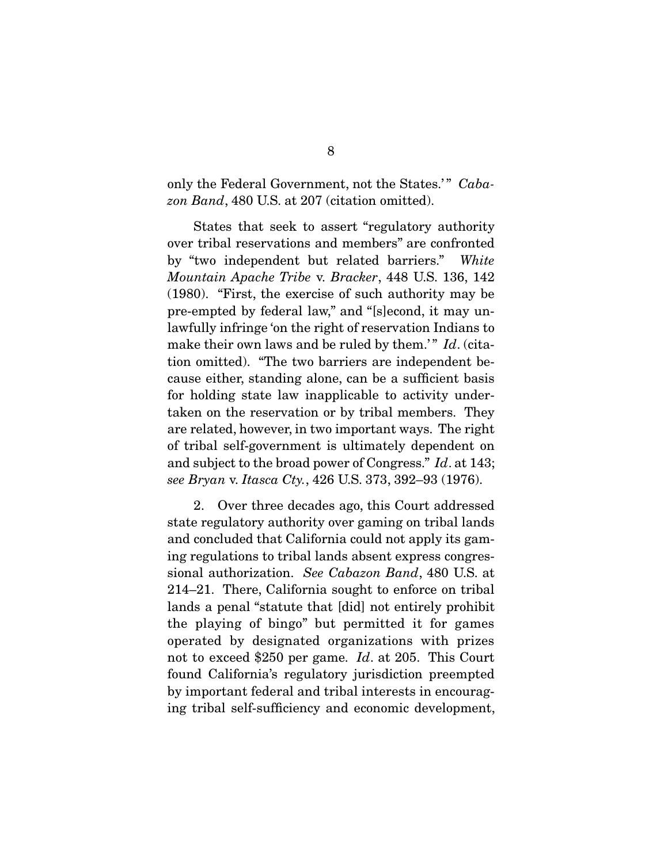only the Federal Government, not the States.'" Cabazon Band, 480 U.S. at 207 (citation omitted).

 States that seek to assert "regulatory authority over tribal reservations and members" are confronted by "two independent but related barriers." White Mountain Apache Tribe v. Bracker, 448 U.S. 136, 142 (1980). "First, the exercise of such authority may be pre-empted by federal law," and "[s]econd, it may unlawfully infringe 'on the right of reservation Indians to make their own laws and be ruled by them.'"  $Id$ . (citation omitted). "The two barriers are independent because either, standing alone, can be a sufficient basis for holding state law inapplicable to activity undertaken on the reservation or by tribal members. They are related, however, in two important ways. The right of tribal self-government is ultimately dependent on and subject to the broad power of Congress." Id. at 143; see Bryan v. Itasca Cty., 426 U.S. 373, 392–93 (1976).

 2. Over three decades ago, this Court addressed state regulatory authority over gaming on tribal lands and concluded that California could not apply its gaming regulations to tribal lands absent express congressional authorization. See Cabazon Band, 480 U.S. at 214–21. There, California sought to enforce on tribal lands a penal "statute that [did] not entirely prohibit the playing of bingo" but permitted it for games operated by designated organizations with prizes not to exceed \$250 per game. Id. at 205. This Court found California's regulatory jurisdiction preempted by important federal and tribal interests in encouraging tribal self-sufficiency and economic development,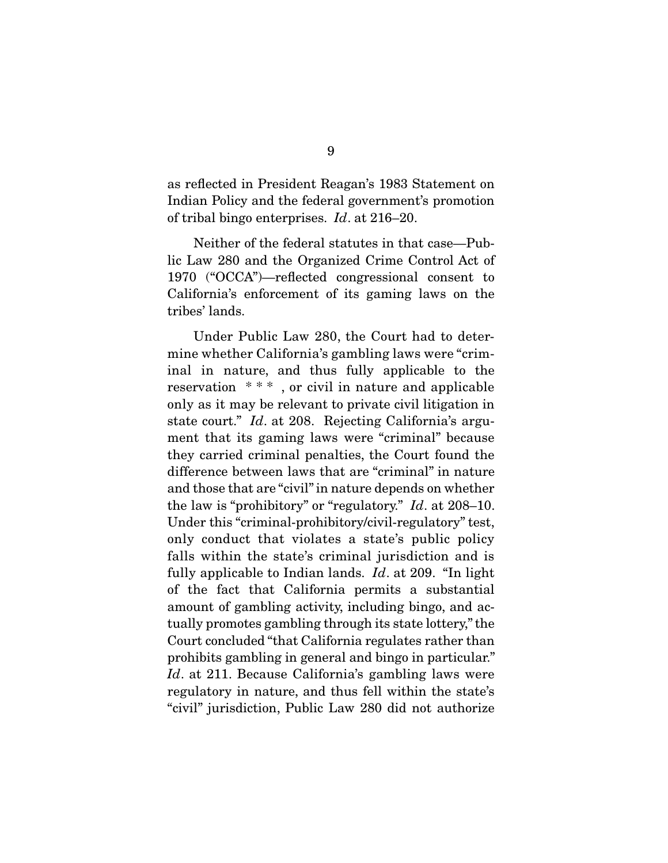as reflected in President Reagan's 1983 Statement on Indian Policy and the federal government's promotion of tribal bingo enterprises. Id. at 216–20.

 Neither of the federal statutes in that case—Public Law 280 and the Organized Crime Control Act of 1970 ("OCCA")—reflected congressional consent to California's enforcement of its gaming laws on the tribes' lands.

 Under Public Law 280, the Court had to determine whether California's gambling laws were "criminal in nature, and thus fully applicable to the reservation \* \* \* , or civil in nature and applicable only as it may be relevant to private civil litigation in state court." Id. at 208. Rejecting California's argument that its gaming laws were "criminal" because they carried criminal penalties, the Court found the difference between laws that are "criminal" in nature and those that are "civil" in nature depends on whether the law is "prohibitory" or "regulatory." Id. at 208–10. Under this "criminal-prohibitory/civil-regulatory" test, only conduct that violates a state's public policy falls within the state's criminal jurisdiction and is fully applicable to Indian lands.  $Id$ . at 209. "In light of the fact that California permits a substantial amount of gambling activity, including bingo, and actually promotes gambling through its state lottery," the Court concluded "that California regulates rather than prohibits gambling in general and bingo in particular." Id. at 211. Because California's gambling laws were regulatory in nature, and thus fell within the state's "civil" jurisdiction, Public Law 280 did not authorize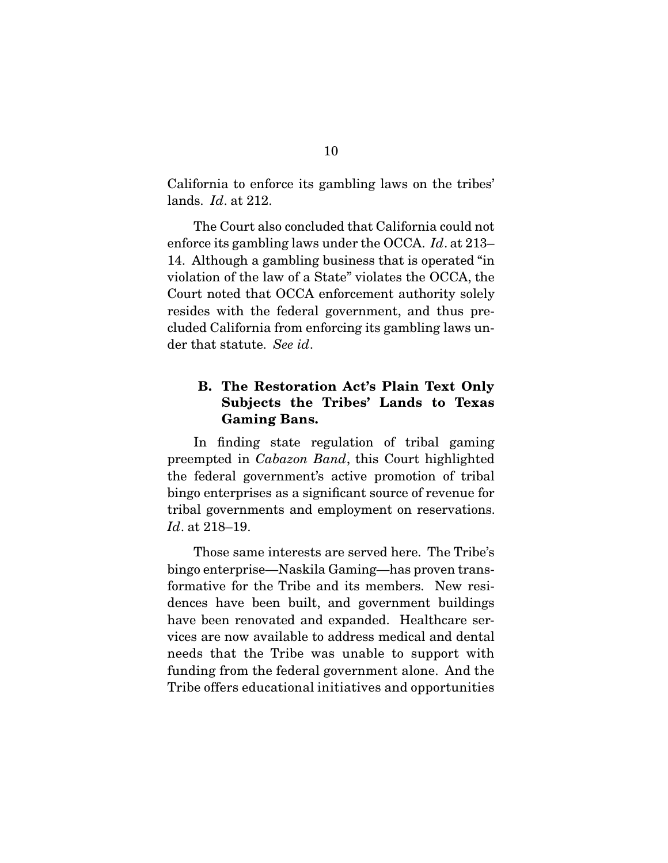California to enforce its gambling laws on the tribes' lands. Id. at 212.

 The Court also concluded that California could not enforce its gambling laws under the OCCA. Id. at 213– 14. Although a gambling business that is operated "in violation of the law of a State" violates the OCCA, the Court noted that OCCA enforcement authority solely resides with the federal government, and thus precluded California from enforcing its gambling laws under that statute. See id.

### **B. The Restoration Act's Plain Text Only Subjects the Tribes' Lands to Texas Gaming Bans.**

 In finding state regulation of tribal gaming preempted in Cabazon Band, this Court highlighted the federal government's active promotion of tribal bingo enterprises as a significant source of revenue for tribal governments and employment on reservations. Id. at 218–19.

 Those same interests are served here. The Tribe's bingo enterprise—Naskila Gaming—has proven transformative for the Tribe and its members. New residences have been built, and government buildings have been renovated and expanded. Healthcare services are now available to address medical and dental needs that the Tribe was unable to support with funding from the federal government alone. And the Tribe offers educational initiatives and opportunities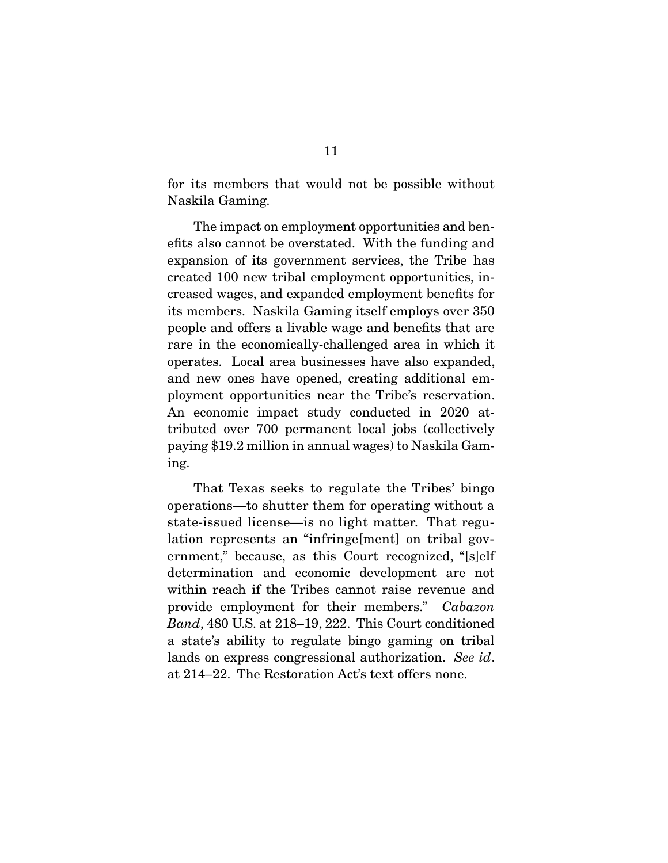for its members that would not be possible without Naskila Gaming.

 The impact on employment opportunities and benefits also cannot be overstated. With the funding and expansion of its government services, the Tribe has created 100 new tribal employment opportunities, increased wages, and expanded employment benefits for its members. Naskila Gaming itself employs over 350 people and offers a livable wage and benefits that are rare in the economically-challenged area in which it operates. Local area businesses have also expanded, and new ones have opened, creating additional employment opportunities near the Tribe's reservation. An economic impact study conducted in 2020 attributed over 700 permanent local jobs (collectively paying \$19.2 million in annual wages) to Naskila Gaming.

 That Texas seeks to regulate the Tribes' bingo operations—to shutter them for operating without a state-issued license—is no light matter. That regulation represents an "infringe[ment] on tribal government," because, as this Court recognized, "[s]elf determination and economic development are not within reach if the Tribes cannot raise revenue and provide employment for their members." Cabazon Band, 480 U.S. at 218–19, 222. This Court conditioned a state's ability to regulate bingo gaming on tribal lands on express congressional authorization. See id. at 214–22. The Restoration Act's text offers none.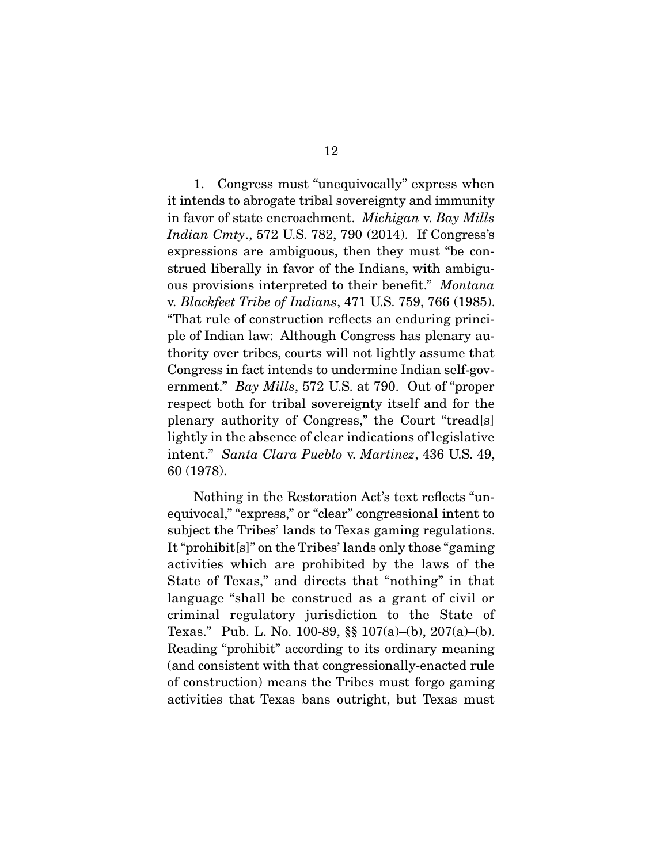1. Congress must "unequivocally" express when it intends to abrogate tribal sovereignty and immunity in favor of state encroachment. Michigan v. Bay Mills Indian Cmty., 572 U.S. 782, 790 (2014). If Congress's expressions are ambiguous, then they must "be construed liberally in favor of the Indians, with ambiguous provisions interpreted to their benefit." Montana v. Blackfeet Tribe of Indians, 471 U.S. 759, 766 (1985). "That rule of construction reflects an enduring principle of Indian law: Although Congress has plenary authority over tribes, courts will not lightly assume that Congress in fact intends to undermine Indian self-government." Bay Mills, 572 U.S. at 790. Out of "proper respect both for tribal sovereignty itself and for the plenary authority of Congress," the Court "tread[s] lightly in the absence of clear indications of legislative intent." Santa Clara Pueblo v. Martinez, 436 U.S. 49, 60 (1978).

 Nothing in the Restoration Act's text reflects "unequivocal," "express," or "clear" congressional intent to subject the Tribes' lands to Texas gaming regulations. It "prohibit[s]" on the Tribes' lands only those "gaming activities which are prohibited by the laws of the State of Texas," and directs that "nothing" in that language "shall be construed as a grant of civil or criminal regulatory jurisdiction to the State of Texas." Pub. L. No. 100-89, §§ 107(a)–(b), 207(a)–(b). Reading "prohibit" according to its ordinary meaning (and consistent with that congressionally-enacted rule of construction) means the Tribes must forgo gaming activities that Texas bans outright, but Texas must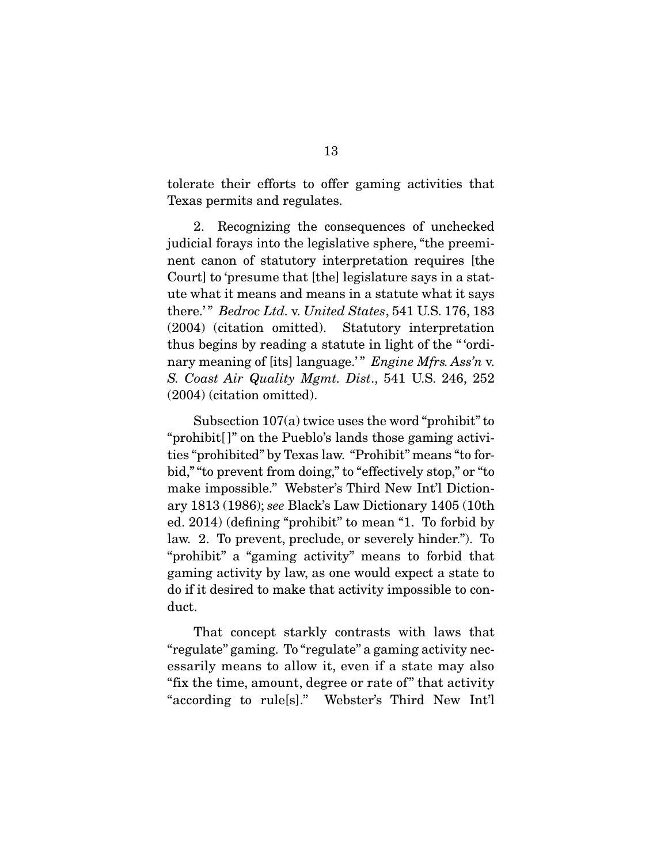tolerate their efforts to offer gaming activities that Texas permits and regulates.

 2. Recognizing the consequences of unchecked judicial forays into the legislative sphere, "the preeminent canon of statutory interpretation requires [the Court] to 'presume that [the] legislature says in a statute what it means and means in a statute what it says there.'" Bedroc Ltd. v. United States, 541 U.S. 176, 183 (2004) (citation omitted). Statutory interpretation thus begins by reading a statute in light of the " 'ordinary meaning of [its] language.'" Engine Mfrs. Ass'n v. S. Coast Air Quality Mgmt. Dist., 541 U.S. 246, 252 (2004) (citation omitted).

 Subsection 107(a) twice uses the word "prohibit" to "prohibit[ ]" on the Pueblo's lands those gaming activities "prohibited" by Texas law. "Prohibit" means "to forbid," "to prevent from doing," to "effectively stop," or "to make impossible." Webster's Third New Int'l Dictionary 1813 (1986); see Black's Law Dictionary 1405 (10th ed. 2014) (defining "prohibit" to mean "1. To forbid by law. 2. To prevent, preclude, or severely hinder."). To "prohibit" a "gaming activity" means to forbid that gaming activity by law, as one would expect a state to do if it desired to make that activity impossible to conduct.

 That concept starkly contrasts with laws that "regulate" gaming. To "regulate" a gaming activity necessarily means to allow it, even if a state may also "fix the time, amount, degree or rate of" that activity "according to rule[s]." Webster's Third New Int'l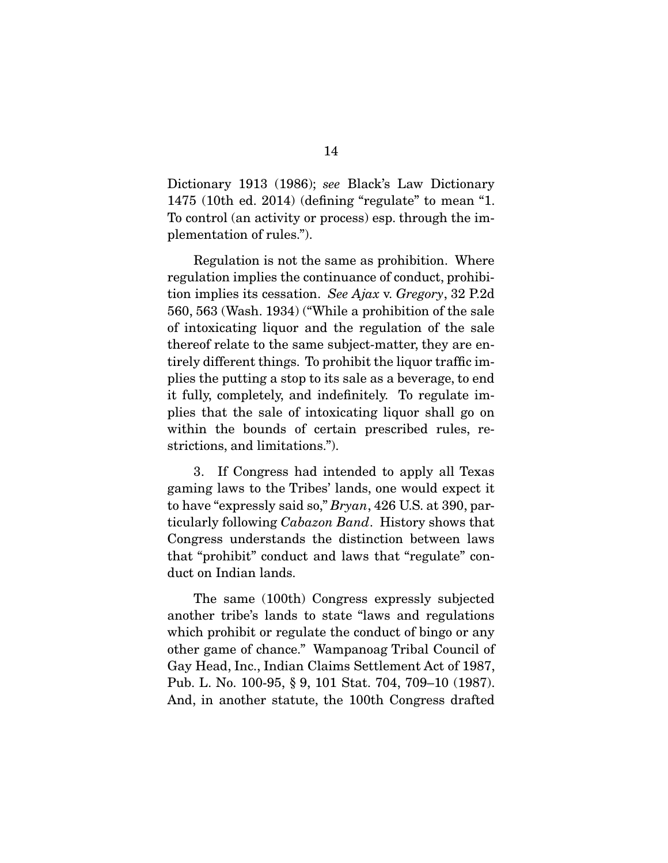Dictionary 1913 (1986); see Black's Law Dictionary 1475 (10th ed. 2014) (defining "regulate" to mean "1. To control (an activity or process) esp. through the implementation of rules.").

 Regulation is not the same as prohibition. Where regulation implies the continuance of conduct, prohibition implies its cessation. See Ajax v. Gregory, 32 P.2d 560, 563 (Wash. 1934) ("While a prohibition of the sale of intoxicating liquor and the regulation of the sale thereof relate to the same subject-matter, they are entirely different things. To prohibit the liquor traffic implies the putting a stop to its sale as a beverage, to end it fully, completely, and indefinitely. To regulate implies that the sale of intoxicating liquor shall go on within the bounds of certain prescribed rules, restrictions, and limitations.").

 3. If Congress had intended to apply all Texas gaming laws to the Tribes' lands, one would expect it to have "expressly said so," Bryan, 426 U.S. at 390, particularly following Cabazon Band. History shows that Congress understands the distinction between laws that "prohibit" conduct and laws that "regulate" conduct on Indian lands.

 The same (100th) Congress expressly subjected another tribe's lands to state "laws and regulations which prohibit or regulate the conduct of bingo or any other game of chance." Wampanoag Tribal Council of Gay Head, Inc., Indian Claims Settlement Act of 1987, Pub. L. No. 100-95, § 9, 101 Stat. 704, 709–10 (1987). And, in another statute, the 100th Congress drafted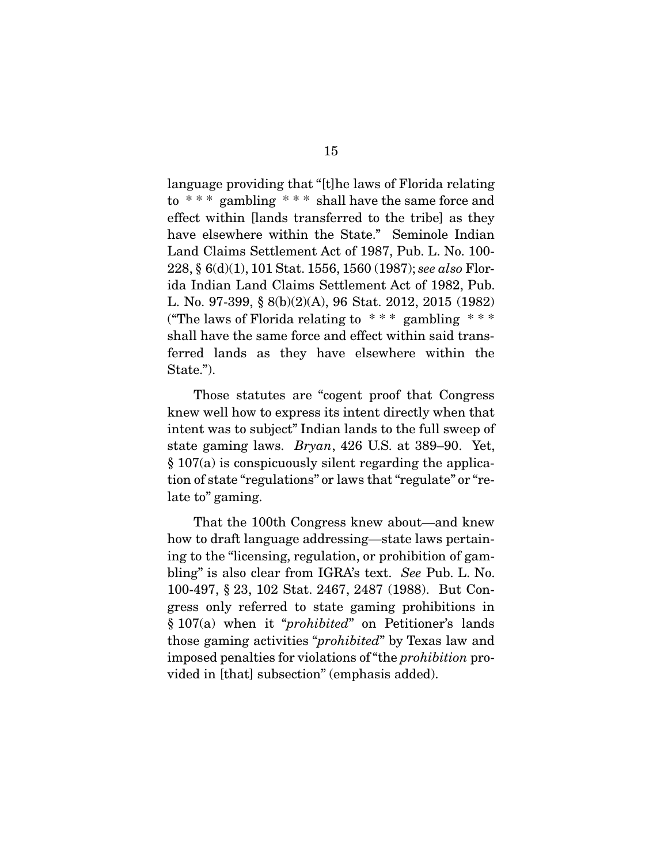language providing that "[t]he laws of Florida relating to  $***$  gambling  $***$  shall have the same force and effect within [lands transferred to the tribe] as they have elsewhere within the State." Seminole Indian Land Claims Settlement Act of 1987, Pub. L. No. 100- 228, § 6(d)(1), 101 Stat. 1556, 1560 (1987); see also Florida Indian Land Claims Settlement Act of 1982, Pub. L. No. 97-399, § 8(b)(2)(A), 96 Stat. 2012, 2015 (1982) ("The laws of Florida relating to  $***$  gambling  $***$ shall have the same force and effect within said transferred lands as they have elsewhere within the State.").

 Those statutes are "cogent proof that Congress knew well how to express its intent directly when that intent was to subject" Indian lands to the full sweep of state gaming laws. Bryan, 426 U.S. at 389–90. Yet, § 107(a) is conspicuously silent regarding the application of state "regulations" or laws that "regulate" or "relate to" gaming.

 That the 100th Congress knew about—and knew how to draft language addressing—state laws pertaining to the "licensing, regulation, or prohibition of gambling" is also clear from IGRA's text. See Pub. L. No. 100-497, § 23, 102 Stat. 2467, 2487 (1988). But Congress only referred to state gaming prohibitions in § 107(a) when it "prohibited" on Petitioner's lands those gaming activities "prohibited" by Texas law and imposed penalties for violations of "the prohibition provided in [that] subsection" (emphasis added).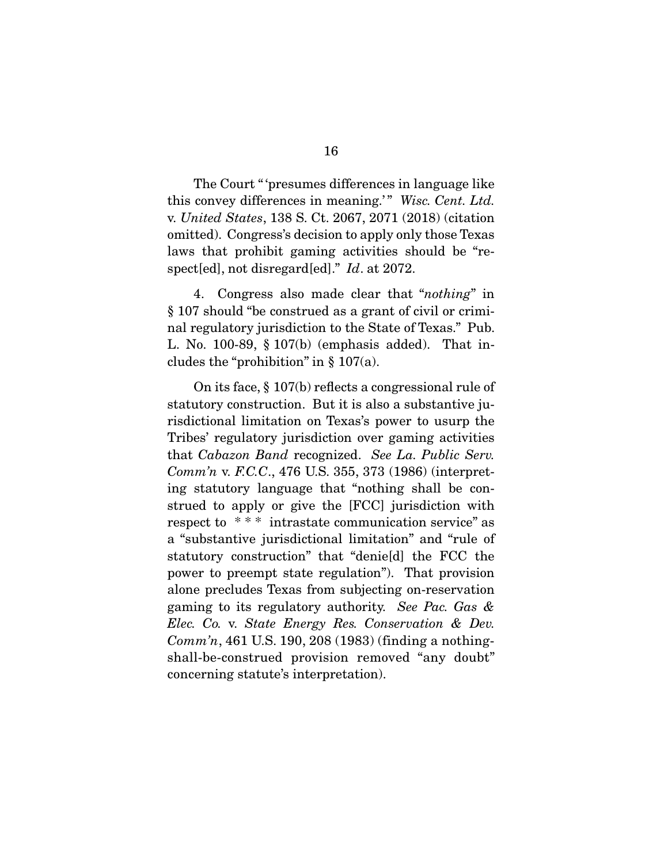The Court " 'presumes differences in language like this convey differences in meaning.'" Wisc. Cent. Ltd. v. United States, 138 S. Ct. 2067, 2071 (2018) (citation omitted). Congress's decision to apply only those Texas laws that prohibit gaming activities should be "respect[ed], not disregard[ed]." Id. at 2072.

 4. Congress also made clear that "nothing" in § 107 should "be construed as a grant of civil or criminal regulatory jurisdiction to the State of Texas." Pub. L. No. 100-89, § 107(b) (emphasis added). That includes the "prohibition" in  $\S 107(a)$ .

 On its face, § 107(b) reflects a congressional rule of statutory construction. But it is also a substantive jurisdictional limitation on Texas's power to usurp the Tribes' regulatory jurisdiction over gaming activities that Cabazon Band recognized. See La. Public Serv. Comm'n v. F.C.C., 476 U.S. 355, 373 (1986) (interpreting statutory language that "nothing shall be construed to apply or give the [FCC] jurisdiction with respect to \* \* \* intrastate communication service" as a "substantive jurisdictional limitation" and "rule of statutory construction" that "denie[d] the FCC the power to preempt state regulation"). That provision alone precludes Texas from subjecting on-reservation gaming to its regulatory authority. See Pac. Gas & Elec. Co. v. State Energy Res. Conservation & Dev.  $Comm'n$ , 461 U.S. 190, 208 (1983) (finding a nothingshall-be-construed provision removed "any doubt" concerning statute's interpretation).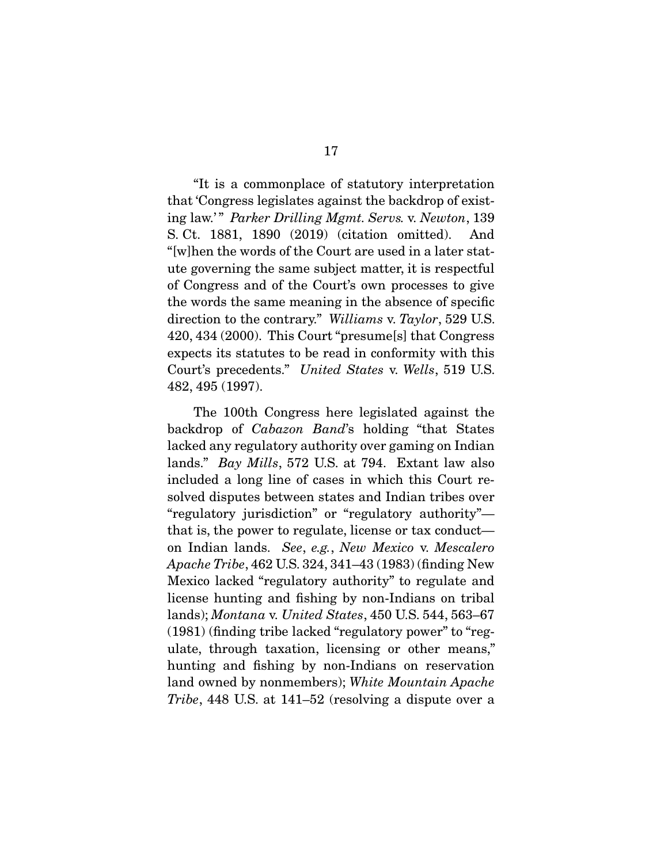"It is a commonplace of statutory interpretation that 'Congress legislates against the backdrop of existing law.'" Parker Drilling Mgmt. Servs. v. Newton, 139 S. Ct. 1881, 1890 (2019) (citation omitted). And "[w]hen the words of the Court are used in a later statute governing the same subject matter, it is respectful of Congress and of the Court's own processes to give the words the same meaning in the absence of specific direction to the contrary." Williams v. Taylor, 529 U.S. 420, 434 (2000). This Court "presume[s] that Congress expects its statutes to be read in conformity with this Court's precedents." United States v. Wells, 519 U.S. 482, 495 (1997).

 The 100th Congress here legislated against the backdrop of Cabazon Band's holding "that States lacked any regulatory authority over gaming on Indian lands." Bay Mills, 572 U.S. at 794. Extant law also included a long line of cases in which this Court resolved disputes between states and Indian tribes over "regulatory jurisdiction" or "regulatory authority" that is, the power to regulate, license or tax conduct on Indian lands. See, e.g., New Mexico v. Mescalero Apache Tribe, 462 U.S. 324, 341–43 (1983) (finding New Mexico lacked "regulatory authority" to regulate and license hunting and fishing by non-Indians on tribal lands); Montana v. United States, 450 U.S. 544, 563–67 (1981) (finding tribe lacked "regulatory power" to "regulate, through taxation, licensing or other means," hunting and fishing by non-Indians on reservation land owned by nonmembers); White Mountain Apache Tribe, 448 U.S. at 141–52 (resolving a dispute over a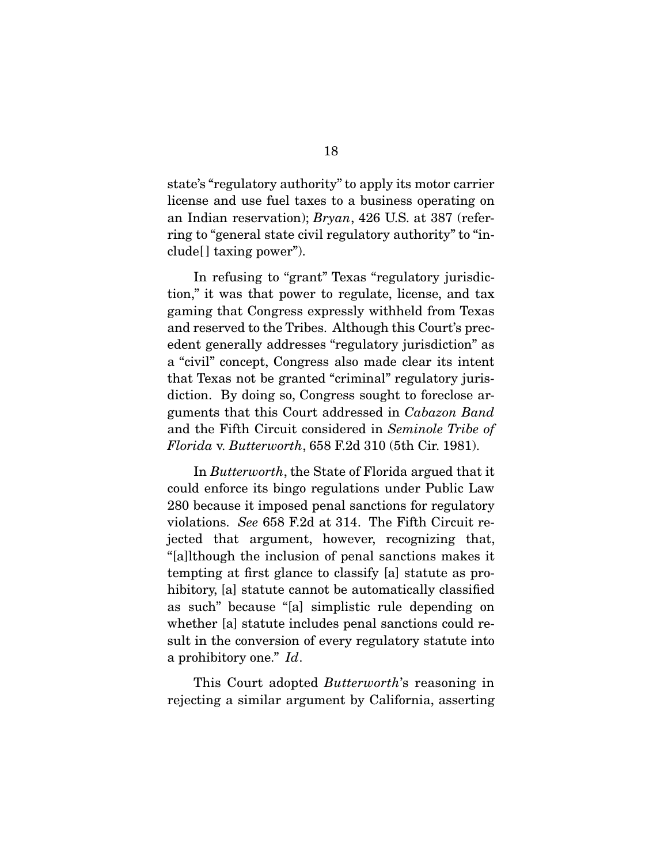state's "regulatory authority" to apply its motor carrier license and use fuel taxes to a business operating on an Indian reservation); Bryan, 426 U.S. at 387 (referring to "general state civil regulatory authority" to "include[ ] taxing power").

 In refusing to "grant" Texas "regulatory jurisdiction," it was that power to regulate, license, and tax gaming that Congress expressly withheld from Texas and reserved to the Tribes. Although this Court's precedent generally addresses "regulatory jurisdiction" as a "civil" concept, Congress also made clear its intent that Texas not be granted "criminal" regulatory jurisdiction. By doing so, Congress sought to foreclose arguments that this Court addressed in Cabazon Band and the Fifth Circuit considered in Seminole Tribe of Florida v. Butterworth, 658 F.2d 310 (5th Cir. 1981).

 In Butterworth, the State of Florida argued that it could enforce its bingo regulations under Public Law 280 because it imposed penal sanctions for regulatory violations. See 658 F.2d at 314. The Fifth Circuit rejected that argument, however, recognizing that, "[a]lthough the inclusion of penal sanctions makes it tempting at first glance to classify [a] statute as prohibitory, [a] statute cannot be automatically classified as such" because "[a] simplistic rule depending on whether [a] statute includes penal sanctions could result in the conversion of every regulatory statute into a prohibitory one." Id.

 This Court adopted Butterworth's reasoning in rejecting a similar argument by California, asserting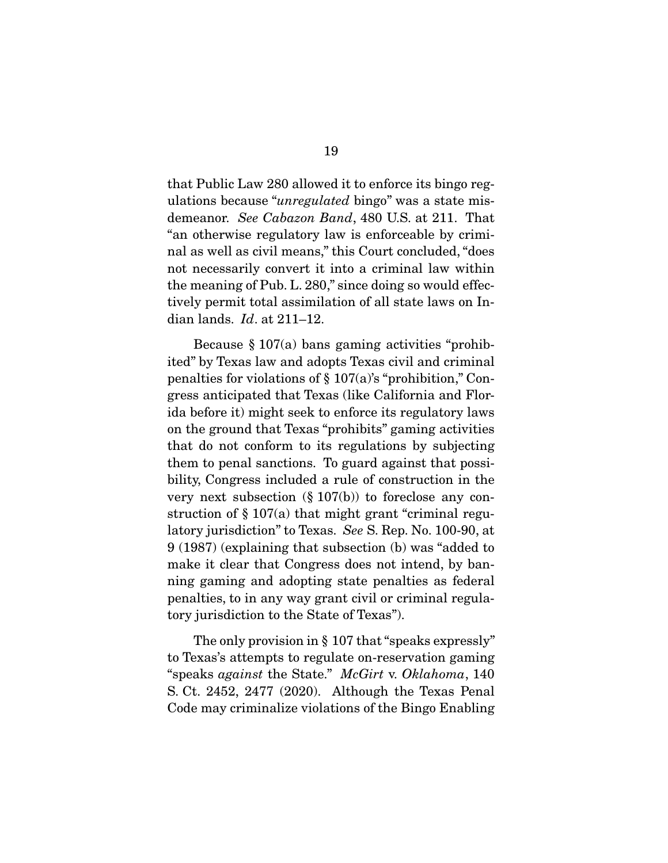that Public Law 280 allowed it to enforce its bingo regulations because "unregulated bingo" was a state misdemeanor. See Cabazon Band, 480 U.S. at 211. That "an otherwise regulatory law is enforceable by criminal as well as civil means," this Court concluded, "does not necessarily convert it into a criminal law within the meaning of Pub. L. 280," since doing so would effectively permit total assimilation of all state laws on Indian lands.  $Id$ . at  $211-12$ .

Because  $\S 107(a)$  bans gaming activities "prohibited" by Texas law and adopts Texas civil and criminal penalties for violations of  $\S 107(a)$ 's "prohibition," Congress anticipated that Texas (like California and Florida before it) might seek to enforce its regulatory laws on the ground that Texas "prohibits" gaming activities that do not conform to its regulations by subjecting them to penal sanctions. To guard against that possibility, Congress included a rule of construction in the very next subsection  $(\S 107(b))$  to foreclose any construction of § 107(a) that might grant "criminal regulatory jurisdiction" to Texas. See S. Rep. No. 100-90, at 9 (1987) (explaining that subsection (b) was "added to make it clear that Congress does not intend, by banning gaming and adopting state penalties as federal penalties, to in any way grant civil or criminal regulatory jurisdiction to the State of Texas").

The only provision in § 107 that "speaks expressly" to Texas's attempts to regulate on-reservation gaming "speaks against the State." McGirt v. Oklahoma, 140 S. Ct. 2452, 2477 (2020). Although the Texas Penal Code may criminalize violations of the Bingo Enabling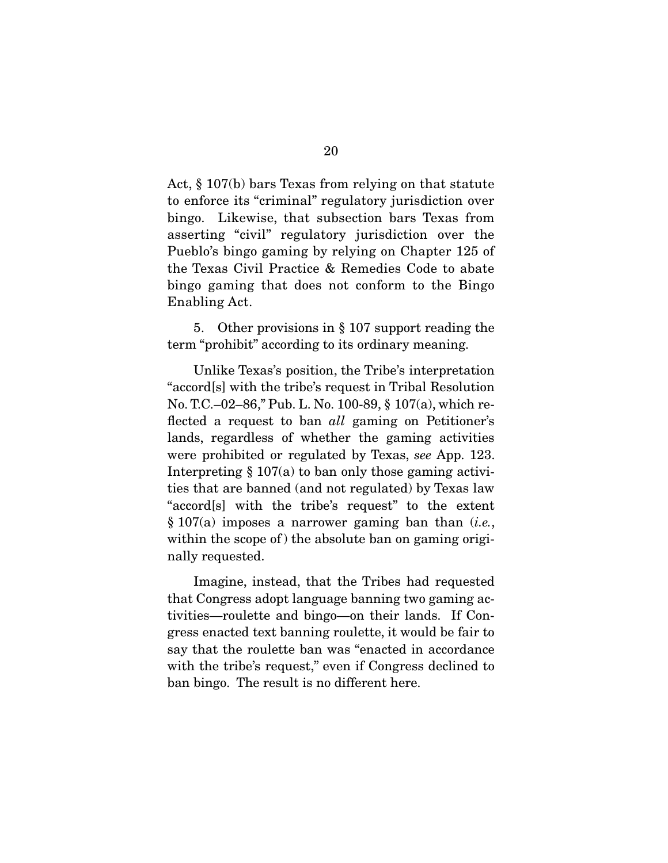Act, § 107(b) bars Texas from relying on that statute to enforce its "criminal" regulatory jurisdiction over bingo. Likewise, that subsection bars Texas from asserting "civil" regulatory jurisdiction over the Pueblo's bingo gaming by relying on Chapter 125 of the Texas Civil Practice & Remedies Code to abate bingo gaming that does not conform to the Bingo Enabling Act.

 5. Other provisions in § 107 support reading the term "prohibit" according to its ordinary meaning.

 Unlike Texas's position, the Tribe's interpretation "accord[s] with the tribe's request in Tribal Resolution No. T.C.–02–86," Pub. L. No. 100-89, § 107(a), which reflected a request to ban *all* gaming on Petitioner's lands, regardless of whether the gaming activities were prohibited or regulated by Texas, see App. 123. Interpreting  $\S 107(a)$  to ban only those gaming activities that are banned (and not regulated) by Texas law "accord[s] with the tribe's request" to the extent  $§ 107(a)$  imposes a narrower gaming ban than (*i.e.*, within the scope of the absolute ban on gaming originally requested.

 Imagine, instead, that the Tribes had requested that Congress adopt language banning two gaming activities—roulette and bingo—on their lands. If Congress enacted text banning roulette, it would be fair to say that the roulette ban was "enacted in accordance with the tribe's request," even if Congress declined to ban bingo. The result is no different here.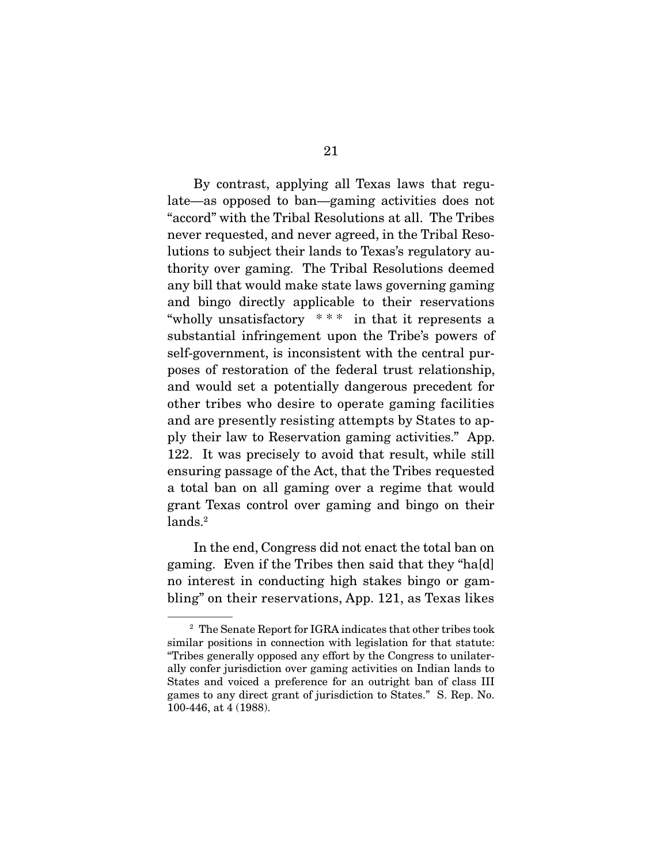By contrast, applying all Texas laws that regulate—as opposed to ban—gaming activities does not "accord" with the Tribal Resolutions at all. The Tribes never requested, and never agreed, in the Tribal Resolutions to subject their lands to Texas's regulatory authority over gaming. The Tribal Resolutions deemed any bill that would make state laws governing gaming and bingo directly applicable to their reservations "wholly unsatisfactory \* \* \* in that it represents a substantial infringement upon the Tribe's powers of self-government, is inconsistent with the central purposes of restoration of the federal trust relationship, and would set a potentially dangerous precedent for other tribes who desire to operate gaming facilities and are presently resisting attempts by States to apply their law to Reservation gaming activities." App. 122. It was precisely to avoid that result, while still ensuring passage of the Act, that the Tribes requested a total ban on all gaming over a regime that would grant Texas control over gaming and bingo on their lands.<sup>2</sup>

 In the end, Congress did not enact the total ban on gaming. Even if the Tribes then said that they "ha[d] no interest in conducting high stakes bingo or gambling" on their reservations, App. 121, as Texas likes

<sup>2</sup> The Senate Report for IGRA indicates that other tribes took similar positions in connection with legislation for that statute: "Tribes generally opposed any effort by the Congress to unilaterally confer jurisdiction over gaming activities on Indian lands to States and voiced a preference for an outright ban of class III games to any direct grant of jurisdiction to States." S. Rep. No. 100-446, at 4 (1988).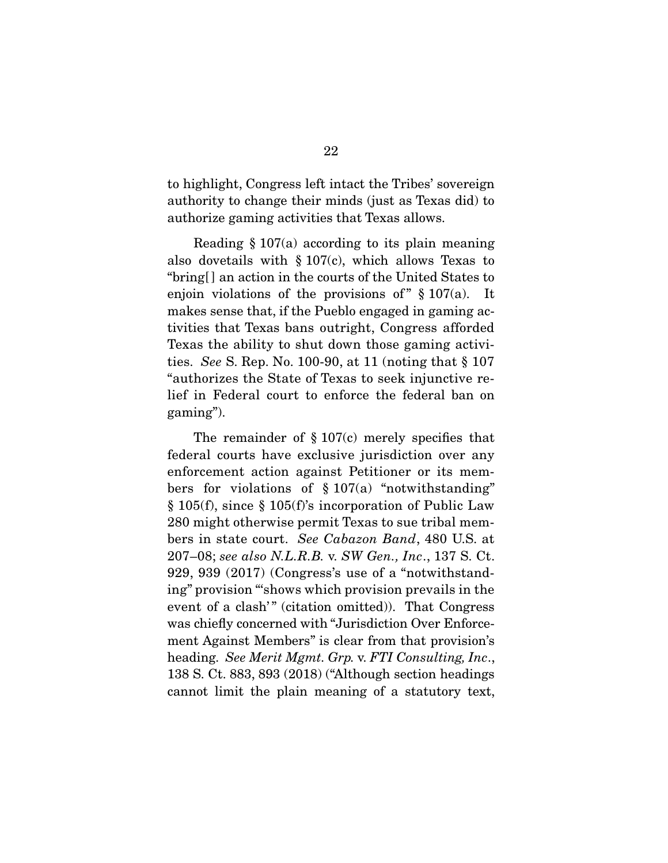to highlight, Congress left intact the Tribes' sovereign authority to change their minds (just as Texas did) to authorize gaming activities that Texas allows.

 Reading § 107(a) according to its plain meaning also dovetails with  $\S 107(c)$ , which allows Texas to "bring[ ] an action in the courts of the United States to enjoin violations of the provisions of  $\frac{107(a)}{a}$ . It makes sense that, if the Pueblo engaged in gaming activities that Texas bans outright, Congress afforded Texas the ability to shut down those gaming activities. See S. Rep. No. 100-90, at 11 (noting that § 107 "authorizes the State of Texas to seek injunctive relief in Federal court to enforce the federal ban on gaming").

The remainder of  $\S 107(c)$  merely specifies that federal courts have exclusive jurisdiction over any enforcement action against Petitioner or its members for violations of  $\S 107(a)$  "notwithstanding" § 105(f), since § 105(f)'s incorporation of Public Law 280 might otherwise permit Texas to sue tribal members in state court. See Cabazon Band, 480 U.S. at 207–08; see also N.L.R.B. v. SW Gen., Inc., 137 S. Ct. 929, 939 (2017) (Congress's use of a "notwithstanding" provision "'shows which provision prevails in the event of a clash'" (citation omitted)). That Congress was chiefly concerned with "Jurisdiction Over Enforcement Against Members" is clear from that provision's heading. See Merit Mgmt. Grp. v. FTI Consulting, Inc., 138 S. Ct. 883, 893 (2018) ("Although section headings cannot limit the plain meaning of a statutory text,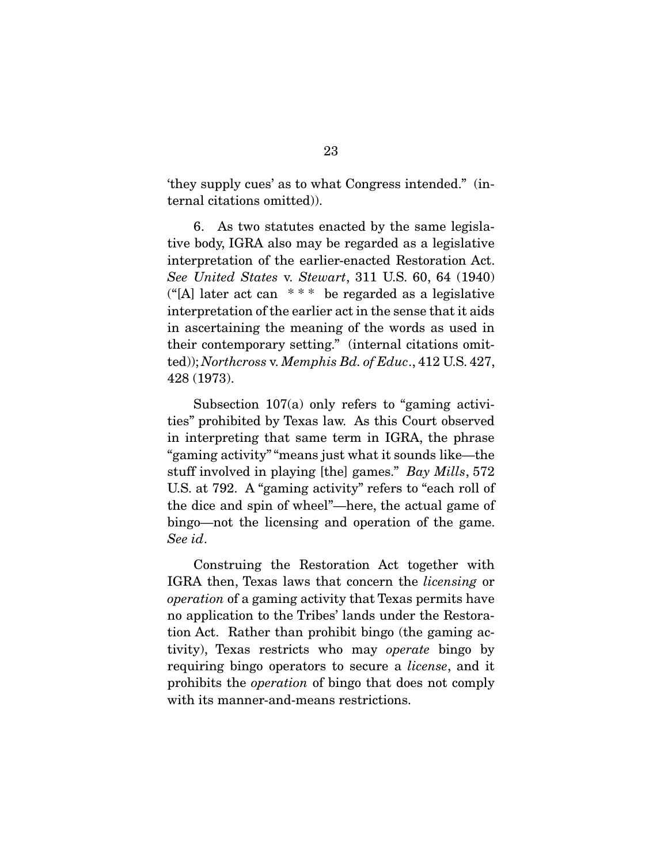'they supply cues' as to what Congress intended." (internal citations omitted)).

 6. As two statutes enacted by the same legislative body, IGRA also may be regarded as a legislative interpretation of the earlier-enacted Restoration Act. See United States v. Stewart, 311 U.S. 60, 64 (1940) (" $[A]$  later act can \*\*\* be regarded as a legislative interpretation of the earlier act in the sense that it aids in ascertaining the meaning of the words as used in their contemporary setting." (internal citations omitted)); Northcross v. Memphis Bd. of Educ., 412 U.S. 427, 428 (1973).

 Subsection 107(a) only refers to "gaming activities" prohibited by Texas law. As this Court observed in interpreting that same term in IGRA, the phrase "gaming activity" "means just what it sounds like—the stuff involved in playing [the] games." Bay Mills, 572 U.S. at 792. A "gaming activity" refers to "each roll of the dice and spin of wheel"—here, the actual game of bingo—not the licensing and operation of the game. See id.

 Construing the Restoration Act together with IGRA then, Texas laws that concern the licensing or operation of a gaming activity that Texas permits have no application to the Tribes' lands under the Restoration Act. Rather than prohibit bingo (the gaming activity), Texas restricts who may operate bingo by requiring bingo operators to secure a license, and it prohibits the operation of bingo that does not comply with its manner-and-means restrictions.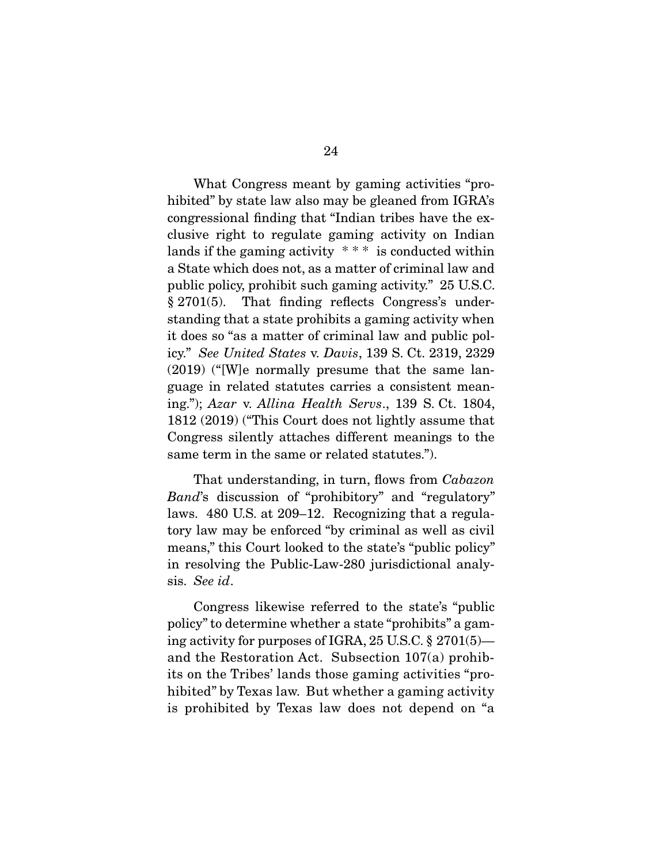What Congress meant by gaming activities "prohibited" by state law also may be gleaned from IGRA's congressional finding that "Indian tribes have the exclusive right to regulate gaming activity on Indian lands if the gaming activity  $***$  is conducted within a State which does not, as a matter of criminal law and public policy, prohibit such gaming activity." 25 U.S.C. § 2701(5). That finding reflects Congress's understanding that a state prohibits a gaming activity when it does so "as a matter of criminal law and public policy." See United States v. Davis, 139 S. Ct. 2319, 2329 (2019) ("[W]e normally presume that the same language in related statutes carries a consistent meaning."); Azar v. Allina Health Servs., 139 S. Ct. 1804, 1812 (2019) ("This Court does not lightly assume that Congress silently attaches different meanings to the same term in the same or related statutes.").

 That understanding, in turn, flows from Cabazon Band's discussion of "prohibitory" and "regulatory" laws. 480 U.S. at 209–12. Recognizing that a regulatory law may be enforced "by criminal as well as civil means," this Court looked to the state's "public policy" in resolving the Public-Law-280 jurisdictional analysis. See id.

 Congress likewise referred to the state's "public policy" to determine whether a state "prohibits" a gaming activity for purposes of IGRA, 25 U.S.C. § 2701(5) and the Restoration Act. Subsection 107(a) prohibits on the Tribes' lands those gaming activities "prohibited" by Texas law. But whether a gaming activity is prohibited by Texas law does not depend on "a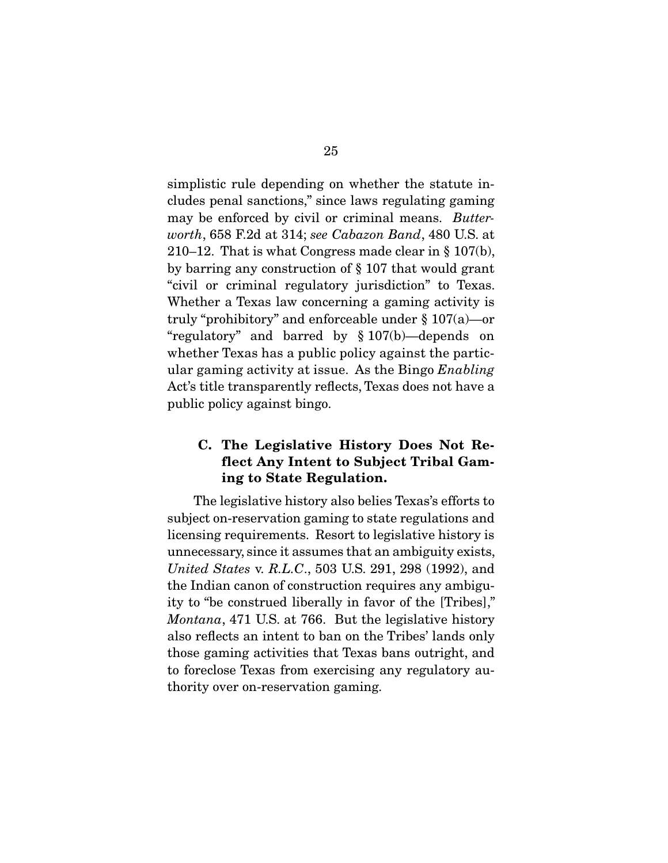simplistic rule depending on whether the statute includes penal sanctions," since laws regulating gaming may be enforced by civil or criminal means. Butterworth, 658 F.2d at 314; see Cabazon Band, 480 U.S. at 210–12. That is what Congress made clear in § 107(b), by barring any construction of § 107 that would grant "civil or criminal regulatory jurisdiction" to Texas. Whether a Texas law concerning a gaming activity is truly "prohibitory" and enforceable under § 107(a)—or "regulatory" and barred by § 107(b)—depends on whether Texas has a public policy against the particular gaming activity at issue. As the Bingo Enabling Act's title transparently reflects, Texas does not have a public policy against bingo.

### **C. The Legislative History Does Not Reflect Any Intent to Subject Tribal Gaming to State Regulation.**

 The legislative history also belies Texas's efforts to subject on-reservation gaming to state regulations and licensing requirements. Resort to legislative history is unnecessary, since it assumes that an ambiguity exists, United States v. R.L.C., 503 U.S. 291, 298 (1992), and the Indian canon of construction requires any ambiguity to "be construed liberally in favor of the [Tribes]," Montana, 471 U.S. at 766. But the legislative history also reflects an intent to ban on the Tribes' lands only those gaming activities that Texas bans outright, and to foreclose Texas from exercising any regulatory authority over on-reservation gaming.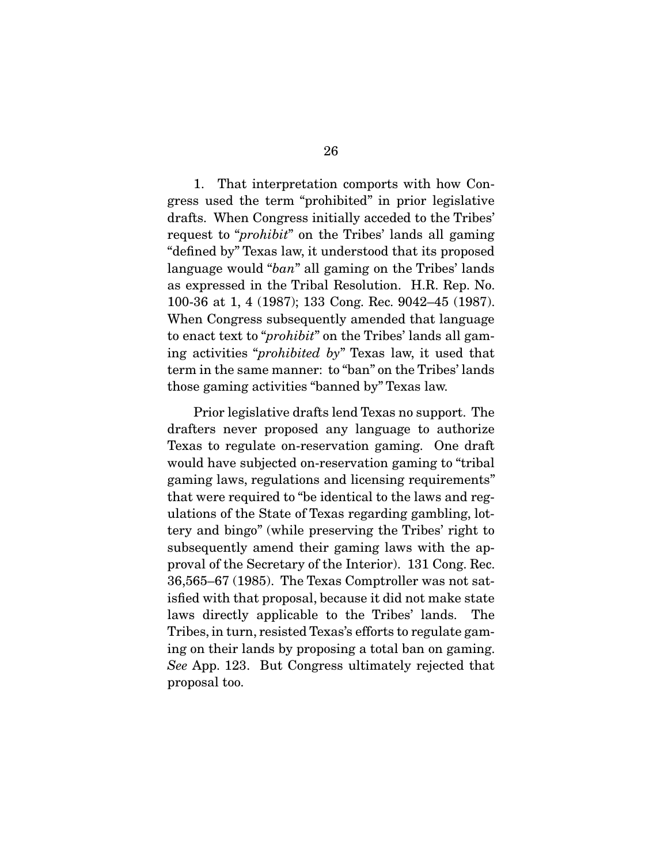1. That interpretation comports with how Congress used the term "prohibited" in prior legislative drafts. When Congress initially acceded to the Tribes' request to "prohibit" on the Tribes' lands all gaming "defined by" Texas law, it understood that its proposed language would "ban" all gaming on the Tribes' lands as expressed in the Tribal Resolution. H.R. Rep. No. 100-36 at 1, 4 (1987); 133 Cong. Rec. 9042–45 (1987). When Congress subsequently amended that language to enact text to "prohibit" on the Tribes' lands all gaming activities "prohibited by" Texas law, it used that term in the same manner: to "ban" on the Tribes' lands those gaming activities "banned by" Texas law.

 Prior legislative drafts lend Texas no support. The drafters never proposed any language to authorize Texas to regulate on-reservation gaming. One draft would have subjected on-reservation gaming to "tribal gaming laws, regulations and licensing requirements" that were required to "be identical to the laws and regulations of the State of Texas regarding gambling, lottery and bingo" (while preserving the Tribes' right to subsequently amend their gaming laws with the approval of the Secretary of the Interior). 131 Cong. Rec. 36,565–67 (1985). The Texas Comptroller was not satisfied with that proposal, because it did not make state laws directly applicable to the Tribes' lands. The Tribes, in turn, resisted Texas's efforts to regulate gaming on their lands by proposing a total ban on gaming. See App. 123. But Congress ultimately rejected that proposal too.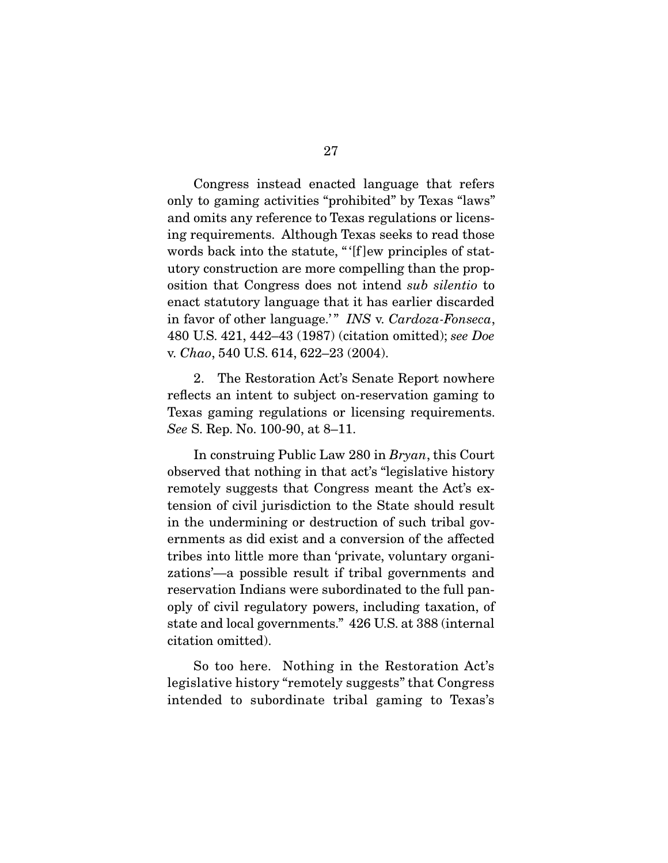Congress instead enacted language that refers only to gaming activities "prohibited" by Texas "laws" and omits any reference to Texas regulations or licensing requirements. Although Texas seeks to read those words back into the statute, " '[f ]ew principles of statutory construction are more compelling than the proposition that Congress does not intend sub silentio to enact statutory language that it has earlier discarded in favor of other language.'" INS v. Cardoza-Fonseca, 480 U.S. 421, 442–43 (1987) (citation omitted); see Doe v. Chao, 540 U.S. 614, 622–23 (2004).

 2. The Restoration Act's Senate Report nowhere reflects an intent to subject on-reservation gaming to Texas gaming regulations or licensing requirements. See S. Rep. No. 100-90, at 8–11.

 In construing Public Law 280 in Bryan, this Court observed that nothing in that act's "legislative history remotely suggests that Congress meant the Act's extension of civil jurisdiction to the State should result in the undermining or destruction of such tribal governments as did exist and a conversion of the affected tribes into little more than 'private, voluntary organizations'—a possible result if tribal governments and reservation Indians were subordinated to the full panoply of civil regulatory powers, including taxation, of state and local governments." 426 U.S. at 388 (internal citation omitted).

 So too here. Nothing in the Restoration Act's legislative history "remotely suggests" that Congress intended to subordinate tribal gaming to Texas's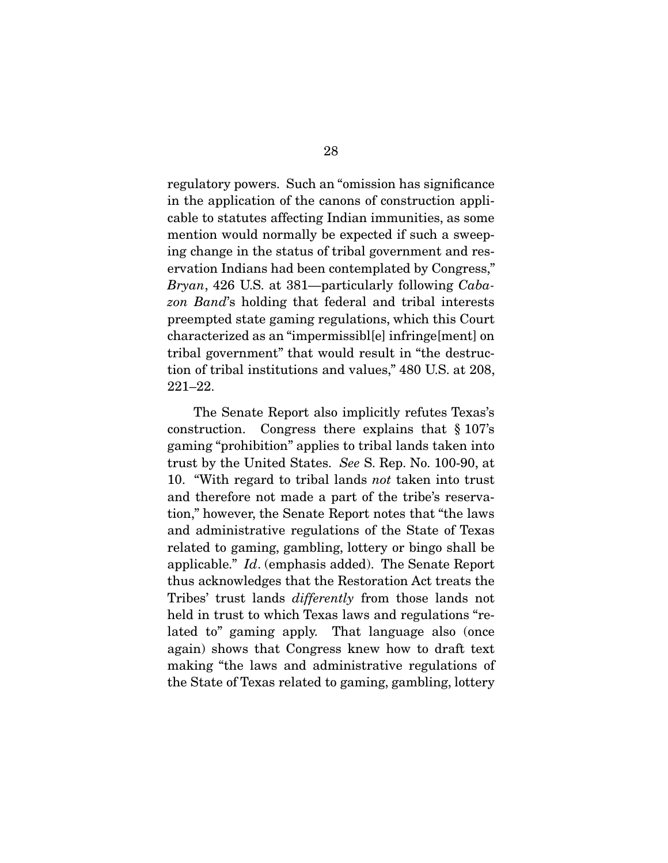regulatory powers. Such an "omission has significance in the application of the canons of construction applicable to statutes affecting Indian immunities, as some mention would normally be expected if such a sweeping change in the status of tribal government and reservation Indians had been contemplated by Congress," Bryan, 426 U.S. at 381—particularly following Cabazon Band's holding that federal and tribal interests preempted state gaming regulations, which this Court characterized as an "impermissibl[e] infringe[ment] on tribal government" that would result in "the destruction of tribal institutions and values," 480 U.S. at 208, 221–22.

 The Senate Report also implicitly refutes Texas's construction. Congress there explains that § 107's gaming "prohibition" applies to tribal lands taken into trust by the United States. See S. Rep. No. 100-90, at 10. "With regard to tribal lands not taken into trust and therefore not made a part of the tribe's reservation," however, the Senate Report notes that "the laws and administrative regulations of the State of Texas related to gaming, gambling, lottery or bingo shall be applicable." Id. (emphasis added). The Senate Report thus acknowledges that the Restoration Act treats the Tribes' trust lands differently from those lands not held in trust to which Texas laws and regulations "related to" gaming apply. That language also (once again) shows that Congress knew how to draft text making "the laws and administrative regulations of the State of Texas related to gaming, gambling, lottery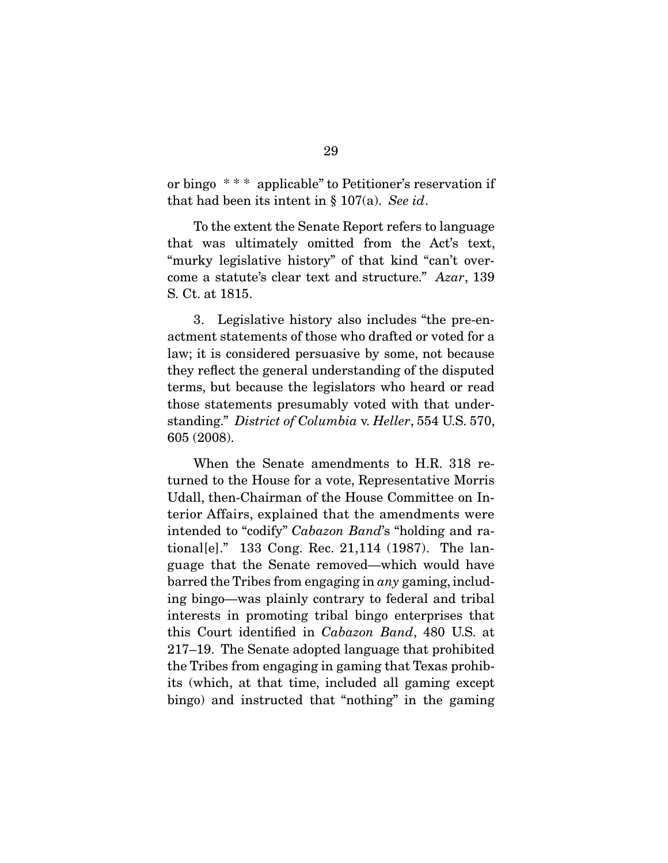or bingo \* \* \* applicable" to Petitioner's reservation if that had been its intent in  $\S 107(a)$ . See id.

 To the extent the Senate Report refers to language that was ultimately omitted from the Act's text, "murky legislative history" of that kind "can't overcome a statute's clear text and structure." Azar, 139 S. Ct. at 1815.

 3. Legislative history also includes "the pre-enactment statements of those who drafted or voted for a law; it is considered persuasive by some, not because they reflect the general understanding of the disputed terms, but because the legislators who heard or read those statements presumably voted with that understanding." District of Columbia v. Heller, 554 U.S. 570, 605 (2008).

 When the Senate amendments to H.R. 318 returned to the House for a vote, Representative Morris Udall, then-Chairman of the House Committee on Interior Affairs, explained that the amendments were intended to "codify" Cabazon Band's "holding and rational[e]." 133 Cong. Rec. 21,114 (1987). The language that the Senate removed—which would have barred the Tribes from engaging in any gaming, including bingo—was plainly contrary to federal and tribal interests in promoting tribal bingo enterprises that this Court identified in Cabazon Band, 480 U.S. at 217–19. The Senate adopted language that prohibited the Tribes from engaging in gaming that Texas prohibits (which, at that time, included all gaming except bingo) and instructed that "nothing" in the gaming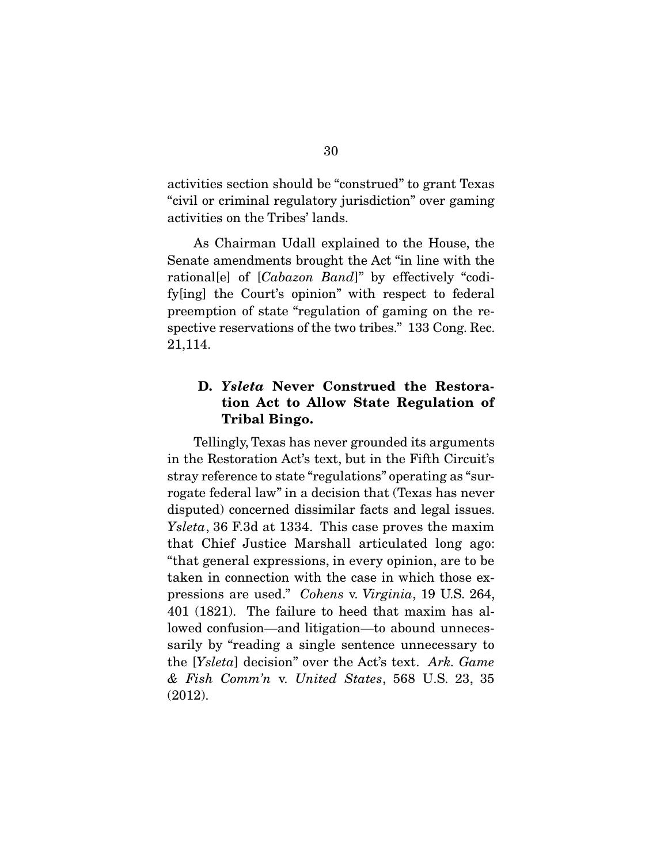activities section should be "construed" to grant Texas "civil or criminal regulatory jurisdiction" over gaming activities on the Tribes' lands.

 As Chairman Udall explained to the House, the Senate amendments brought the Act "in line with the rational[e] of [Cabazon Band]" by effectively "codify[ing] the Court's opinion" with respect to federal preemption of state "regulation of gaming on the respective reservations of the two tribes." 133 Cong. Rec. 21,114.

### **D.** *Ysleta* **Never Construed the Restoration Act to Allow State Regulation of Tribal Bingo.**

 Tellingly, Texas has never grounded its arguments in the Restoration Act's text, but in the Fifth Circuit's stray reference to state "regulations" operating as "surrogate federal law" in a decision that (Texas has never disputed) concerned dissimilar facts and legal issues. Ysleta, 36 F.3d at 1334. This case proves the maxim that Chief Justice Marshall articulated long ago: "that general expressions, in every opinion, are to be taken in connection with the case in which those expressions are used." Cohens v. Virginia, 19 U.S. 264, 401 (1821). The failure to heed that maxim has allowed confusion—and litigation—to abound unnecessarily by "reading a single sentence unnecessary to the [Ysleta] decision" over the Act's text. Ark. Game & Fish Comm'n v. United States, 568 U.S. 23, 35 (2012).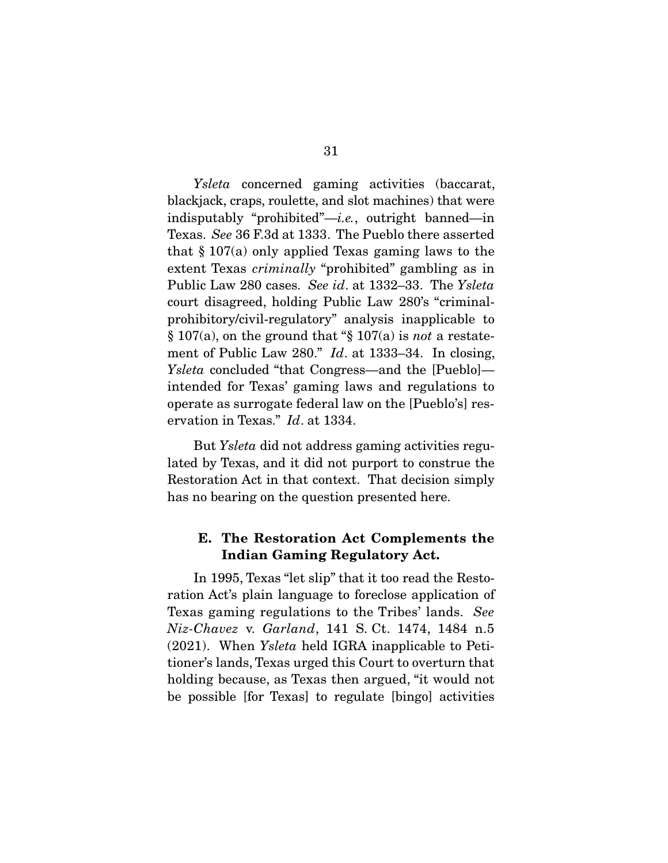Ysleta concerned gaming activities (baccarat, blackjack, craps, roulette, and slot machines) that were indisputably "prohibited"—i.e., outright banned—in Texas. See 36 F.3d at 1333. The Pueblo there asserted that  $\S 107(a)$  only applied Texas gaming laws to the extent Texas *criminally* "prohibited" gambling as in Public Law 280 cases. See id. at 1332–33. The Ysleta court disagreed, holding Public Law 280's "criminalprohibitory/civil-regulatory" analysis inapplicable to  $\S 107(a)$ , on the ground that " $\S 107(a)$  is not a restatement of Public Law 280." Id. at 1333–34. In closing, Ysleta concluded "that Congress—and the [Pueblo] intended for Texas' gaming laws and regulations to operate as surrogate federal law on the [Pueblo's] reservation in Texas." Id. at 1334.

 But Ysleta did not address gaming activities regulated by Texas, and it did not purport to construe the Restoration Act in that context. That decision simply has no bearing on the question presented here.

#### **E. The Restoration Act Complements the Indian Gaming Regulatory Act.**

 In 1995, Texas "let slip" that it too read the Restoration Act's plain language to foreclose application of Texas gaming regulations to the Tribes' lands. See Niz-Chavez v. Garland, 141 S. Ct. 1474, 1484 n.5 (2021). When Ysleta held IGRA inapplicable to Petitioner's lands, Texas urged this Court to overturn that holding because, as Texas then argued, "it would not be possible [for Texas] to regulate [bingo] activities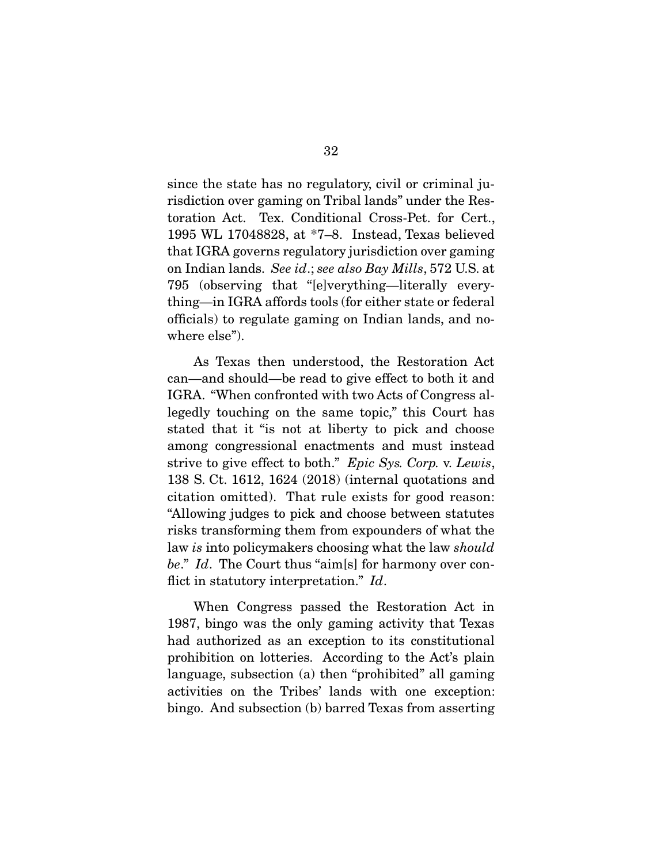since the state has no regulatory, civil or criminal jurisdiction over gaming on Tribal lands" under the Restoration Act. Tex. Conditional Cross-Pet. for Cert., 1995 WL 17048828, at \*7–8. Instead, Texas believed that IGRA governs regulatory jurisdiction over gaming on Indian lands. See id.; see also Bay Mills, 572 U.S. at 795 (observing that "[e]verything—literally everything—in IGRA affords tools (for either state or federal officials) to regulate gaming on Indian lands, and nowhere else").

 As Texas then understood, the Restoration Act can—and should—be read to give effect to both it and IGRA. "When confronted with two Acts of Congress allegedly touching on the same topic," this Court has stated that it "is not at liberty to pick and choose among congressional enactments and must instead strive to give effect to both." Epic Sys. Corp. v. Lewis, 138 S. Ct. 1612, 1624 (2018) (internal quotations and citation omitted). That rule exists for good reason: "Allowing judges to pick and choose between statutes risks transforming them from expounders of what the law is into policymakers choosing what the law should be." Id. The Court thus "aim[s] for harmony over conflict in statutory interpretation." Id.

 When Congress passed the Restoration Act in 1987, bingo was the only gaming activity that Texas had authorized as an exception to its constitutional prohibition on lotteries. According to the Act's plain language, subsection (a) then "prohibited" all gaming activities on the Tribes' lands with one exception: bingo. And subsection (b) barred Texas from asserting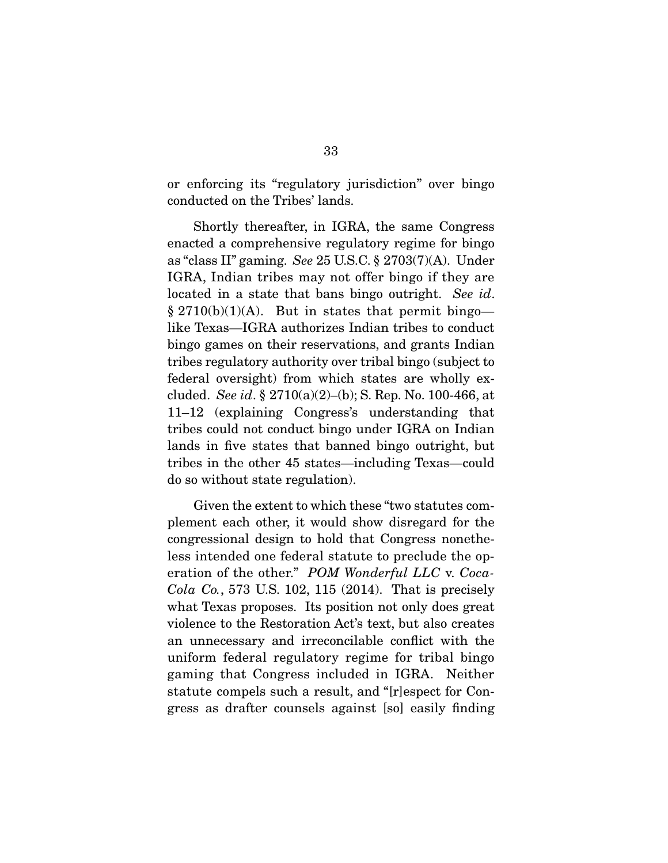or enforcing its "regulatory jurisdiction" over bingo conducted on the Tribes' lands.

 Shortly thereafter, in IGRA, the same Congress enacted a comprehensive regulatory regime for bingo as "class II" gaming. See 25 U.S.C. § 2703(7)(A). Under IGRA, Indian tribes may not offer bingo if they are located in a state that bans bingo outright. See id. § 2710(b)(1)(A). But in states that permit bingo like Texas—IGRA authorizes Indian tribes to conduct bingo games on their reservations, and grants Indian tribes regulatory authority over tribal bingo (subject to federal oversight) from which states are wholly excluded. See id.  $\S 2710(a)(2)$ –(b); S. Rep. No. 100-466, at 11–12 (explaining Congress's understanding that tribes could not conduct bingo under IGRA on Indian lands in five states that banned bingo outright, but tribes in the other 45 states—including Texas—could do so without state regulation).

 Given the extent to which these "two statutes complement each other, it would show disregard for the congressional design to hold that Congress nonetheless intended one federal statute to preclude the operation of the other." POM Wonderful LLC v. Coca-Cola Co., 573 U.S. 102, 115 (2014). That is precisely what Texas proposes. Its position not only does great violence to the Restoration Act's text, but also creates an unnecessary and irreconcilable conflict with the uniform federal regulatory regime for tribal bingo gaming that Congress included in IGRA. Neither statute compels such a result, and "[r]espect for Congress as drafter counsels against [so] easily finding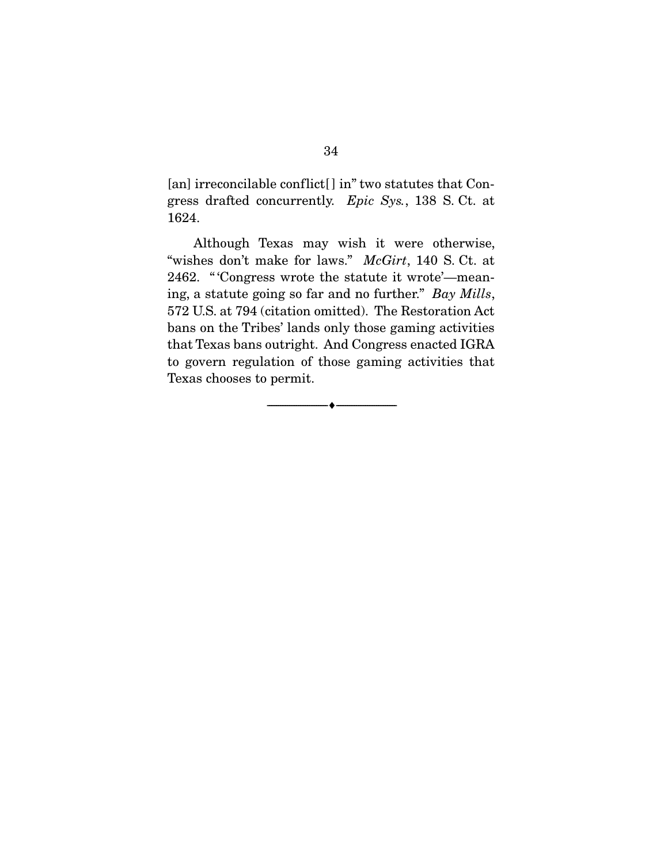[an] irreconcilable conflict[] in" two statutes that Congress drafted concurrently. Epic Sys., 138 S. Ct. at 1624.

 Although Texas may wish it were otherwise, "wishes don't make for laws." McGirt, 140 S. Ct. at 2462. " 'Congress wrote the statute it wrote'—meaning, a statute going so far and no further." Bay Mills, 572 U.S. at 794 (citation omitted). The Restoration Act bans on the Tribes' lands only those gaming activities that Texas bans outright. And Congress enacted IGRA to govern regulation of those gaming activities that Texas chooses to permit.

--------------------------------- ♦ ---------------------------------

34